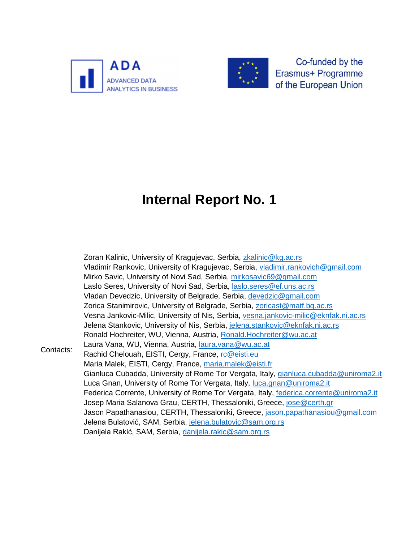



Co-funded by the Erasmus+ Programme of the European Union

## **Internal Report No. 1**

Contacts: Zoran Kalinic, University of Kragujevac, Serbia, [zkalinic@kg.ac.rs](mailto:zkalinic@kg.ac.rs) Vladimir Rankovic, University of Kragujevac, Serbia, [vladimir.rankovich@gmail.com](mailto:vladimir.rankovich@gmail.com) Mirko Savic, University of Novi Sad, Serbia, [mirkosavic69@gmail.com](mailto:mirkosavic69@gmail.com) Laslo Seres, University of Novi Sad, Serbia, [laslo.seres@ef.uns.ac.rs](mailto:laslo.seres@ef.uns.ac.rs) Vladan Devedzic, University of Belgrade, Serbia, [devedzic@gmail.com](mailto:devedzic@gmail.com) Zorica Stanimirovic, University of Belgrade, Serbia, [zoricast@matf.bg.ac.rs](mailto:zoricast@matf.bg.ac.rs) Vesna Jankovic-Milic, University of Nis, Serbia, [vesna.jankovic-milic@eknfak.ni.ac.rs](mailto:vesna.jankovic-milic@eknfak.ni.ac.rs) Jelena Stankovic, University of Nis, Serbia, [jelena.stankovic@eknfak.ni.ac.rs](mailto:jelena.stankovic@eknfak.ni.ac.rs) Ronald Hochreiter, WU, Vienna, Austria, [Ronald.Hochreiter@wu.ac.at](mailto:Ronald.Hochreiter@wu.ac.at) Laura Vana, WU, Vienna, Austria, [laura.vana@wu.ac.at](mailto:laura.vana@wu.ac.at) Rachid Chelouah, EISTI, Cergy, France, [rc@eisti.eu](mailto:rc@eisti.eu) Maria Malek, EISTI, Cergy, France, [maria.malek@eisti.fr](mailto:maria.malek@eisti.fr) Gianluca Cubadda, University of Rome Tor Vergata, Italy, [gianluca.cubadda@uniroma2.it](mailto:gianluca.cubadda@uniroma2.it) Luca Gnan, University of Rome Tor Vergata, Italy, [luca.gnan@uniroma2.it](mailto:luca.gnan@uniroma2.it) Federica Corrente, University of Rome Tor Vergata, Italy, [federica.corrente@uniroma2.it](mailto:federica.corrente@uniroma2.it) Josep Maria Salanova Grau, CERTH, Thessaloniki, Greece, [jose@certh.gr](mailto:jose@certh.gr) Jason Papathanasiou, CERTH, Thessaloniki, Greece, [jason.papathanasiou@gmail.com](mailto:jason.papathanasiou@gmail.com) Jelena Bulatović, SAM, Serbia, [jelena.bulatovic@sam.org.rs](mailto:jelena.bulatovic@sam.org.rs) Danijela Rakić, SAM, Serbia, [danijela.rakic@sam.org.rs](mailto:danijela.rakic@sam.org.rs)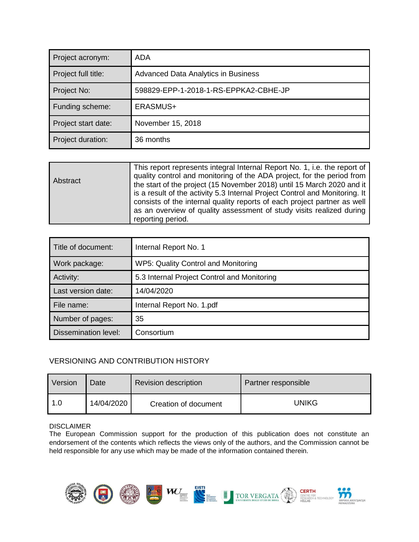| Project acronym:    | ADA                                        |
|---------------------|--------------------------------------------|
| Project full title: | <b>Advanced Data Analytics in Business</b> |
| Project No:         | 598829-EPP-1-2018-1-RS-EPPKA2-CBHE-JP      |
| Funding scheme:     | ERASMUS+                                   |
| Project start date: | November 15, 2018                          |
| Project duration:   | 36 months                                  |

| This report represents integral Internal Report No. 1, i.e. the report of<br>quality control and monitoring of the ADA project, for the period from<br>Abstract<br>the start of the project (15 November 2018) until 15 March 2020 and it<br>is a result of the activity 5.3 Internal Project Control and Monitoring. It |                                                                          |
|--------------------------------------------------------------------------------------------------------------------------------------------------------------------------------------------------------------------------------------------------------------------------------------------------------------------------|--------------------------------------------------------------------------|
| as an overview of quality assessment of study visits realized during<br>reporting period.                                                                                                                                                                                                                                | consists of the internal quality reports of each project partner as well |

| Title of document:          | Internal Report No. 1                       |
|-----------------------------|---------------------------------------------|
| Work package:               | WP5: Quality Control and Monitoring         |
| Activity:                   | 5.3 Internal Project Control and Monitoring |
| Last version date:          | 14/04/2020                                  |
| File name:                  | Internal Report No. 1.pdf                   |
| Number of pages:            | 35                                          |
| <b>Dissemination level:</b> | Consortium                                  |

#### VERSIONING AND CONTRIBUTION HISTORY

| Version | Date       | <b>Revision description</b> | Partner responsible |  |
|---------|------------|-----------------------------|---------------------|--|
| 1.0     | 14/04/2020 | Creation of document        | UNIKG               |  |

#### DISCLAIMER

The European Commission support for the production of this publication does not constitute an endorsement of the contents which reflects the views only of the authors, and the Commission cannot be held responsible for any use which may be made of the information contained therein.

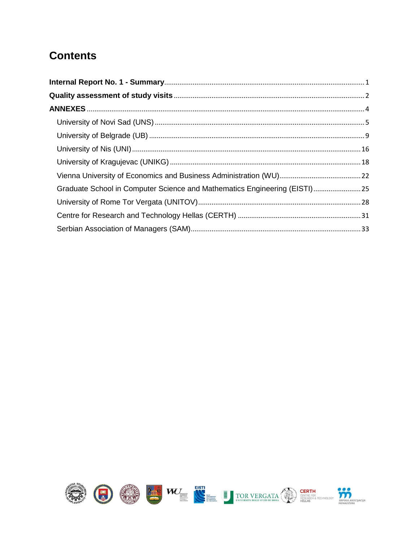#### **Contents**

| Graduate School in Computer Science and Mathematics Engineering (EISTI)25 |
|---------------------------------------------------------------------------|
|                                                                           |
|                                                                           |
|                                                                           |

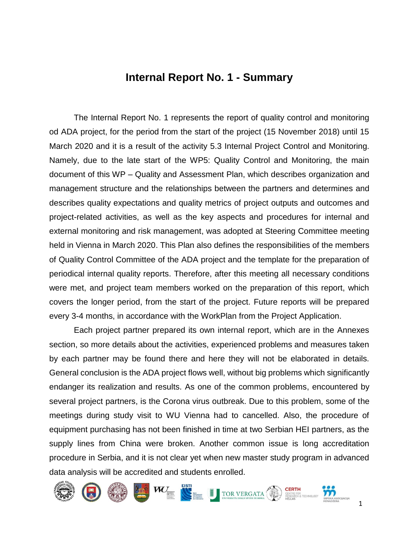#### **Internal Report No. 1 - Summary**

<span id="page-3-0"></span>The Internal Report No. 1 represents the report of quality control and monitoring od ADA project, for the period from the start of the project (15 November 2018) until 15 March 2020 and it is a result of the activity 5.3 Internal Project Control and Monitoring. Namely, due to the late start of the WP5: Quality Control and Monitoring, the main document of this WP – Quality and Assessment Plan, which describes organization and management structure and the relationships between the partners and determines and describes quality expectations and quality metrics of project outputs and outcomes and project-related activities, as well as the key aspects and procedures for internal and external monitoring and risk management, was adopted at Steering Committee meeting held in Vienna in March 2020. This Plan also defines the responsibilities of the members of Quality Control Committee of the ADA project and the template for the preparation of periodical internal quality reports. Therefore, after this meeting all necessary conditions were met, and project team members worked on the preparation of this report, which covers the longer period, from the start of the project. Future reports will be prepared every 3-4 months, in accordance with the WorkPlan from the Project Application.

Each project partner prepared its own internal report, which are in the Annexes section, so more details about the activities, experienced problems and measures taken by each partner may be found there and here they will not be elaborated in details. General conclusion is the ADA project flows well, without big problems which significantly endanger its realization and results. As one of the common problems, encountered by several project partners, is the Corona virus outbreak. Due to this problem, some of the meetings during study visit to WU Vienna had to cancelled. Also, the procedure of equipment purchasing has not been finished in time at two Serbian HEI partners, as the supply lines from China were broken. Another common issue is long accreditation procedure in Serbia, and it is not clear yet when new master study program in advanced data analysis will be accredited and students enrolled.

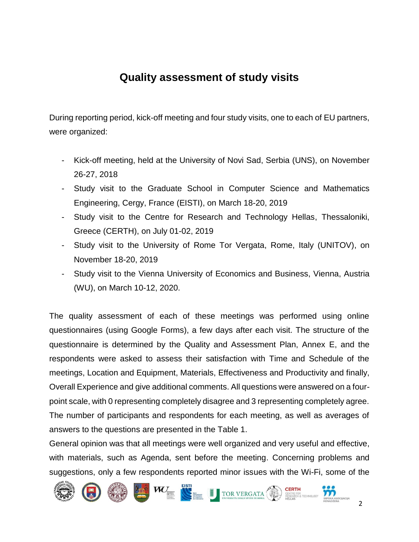#### **Quality assessment of study visits**

<span id="page-4-0"></span>During reporting period, kick-off meeting and four study visits, one to each of EU partners, were organized:

- Kick-off meeting, held at the University of Novi Sad, Serbia (UNS), on November 26-27, 2018
- Study visit to the Graduate School in Computer Science and Mathematics Engineering, Cergy, France (EISTI), on March 18-20, 2019
- Study visit to the Centre for Research and Technology Hellas, Thessaloniki, Greece (CERTH), on July 01-02, 2019
- Study visit to the University of Rome Tor Vergata, Rome, Italy (UNITOV), on November 18-20, 2019
- Study visit to the Vienna University of Economics and Business, Vienna, Austria (WU), on March 10-12, 2020.

The quality assessment of each of these meetings was performed using online questionnaires (using Google Forms), a few days after each visit. The structure of the questionnaire is determined by the Quality and Assessment Plan, Annex E, and the respondents were asked to assess their satisfaction with Time and Schedule of the meetings, Location and Equipment, Materials, Effectiveness and Productivity and finally, Overall Experience and give additional comments. All questions were answered on a fourpoint scale, with 0 representing completely disagree and 3 representing completely agree. The number of participants and respondents for each meeting, as well as averages of answers to the questions are presented in the Table 1.

General opinion was that all meetings were well organized and very useful and effective, with materials, such as Agenda, sent before the meeting. Concerning problems and suggestions, only a few respondents reported minor issues with the Wi-Fi, some of the

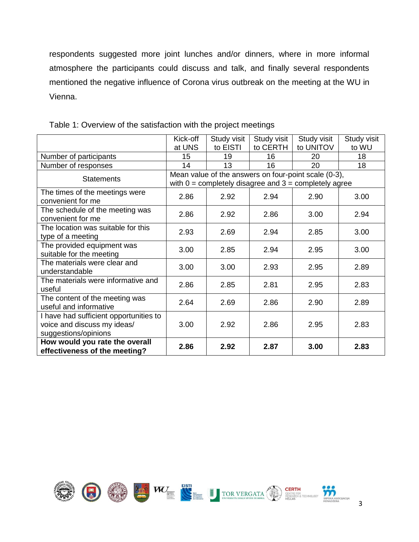respondents suggested more joint lunches and/or dinners, where in more informal atmosphere the participants could discuss and talk, and finally several respondents mentioned the negative influence of Corona virus outbreak on the meeting at the WU in Vienna.

|                                                                                               | Kick-off                                                  | Study visit | Study visit | Study visit | Study visit |  |  |
|-----------------------------------------------------------------------------------------------|-----------------------------------------------------------|-------------|-------------|-------------|-------------|--|--|
|                                                                                               | at UNS                                                    | to EISTI    | to CERTH    | to UNITOV   | to WU       |  |  |
| Number of participants                                                                        | 15                                                        | 19          | 16          | 20          | 18          |  |  |
| Number of responses                                                                           | 14                                                        | 13          | 16          | 20          | 18          |  |  |
| <b>Statements</b>                                                                             | Mean value of the answers on four-point scale (0-3),      |             |             |             |             |  |  |
|                                                                                               | with $0 =$ completely disagree and $3 =$ completely agree |             |             |             |             |  |  |
| The times of the meetings were<br>convenient for me                                           | 2.86                                                      | 2.92        | 2.94        | 2.90        | 3.00        |  |  |
| The schedule of the meeting was<br>convenient for me                                          | 2.86                                                      | 2.92        | 2.86        | 3.00        | 2.94        |  |  |
| The location was suitable for this<br>type of a meeting                                       | 2.93                                                      | 2.69        | 2.94        | 2.85        | 3.00        |  |  |
| The provided equipment was<br>suitable for the meeting                                        | 3.00                                                      | 2.85        | 2.94        | 2.95        | 3.00        |  |  |
| The materials were clear and<br>understandable                                                | 3.00                                                      | 3.00        | 2.93        | 2.95        | 2.89        |  |  |
| The materials were informative and<br>useful                                                  | 2.86                                                      | 2.85        | 2.81        | 2.95        | 2.83        |  |  |
| The content of the meeting was<br>useful and informative                                      | 2.64                                                      | 2.69        | 2.86        | 2.90        | 2.89        |  |  |
| I have had sufficient opportunities to<br>voice and discuss my ideas/<br>suggestions/opinions | 3.00                                                      | 2.92        | 2.86        | 2.95        | 2.83        |  |  |
| How would you rate the overall<br>effectiveness of the meeting?                               | 2.86                                                      | 2.92        | 2.87        | 3.00        | 2.83        |  |  |

Table 1: Overview of the satisfaction with the project meetings

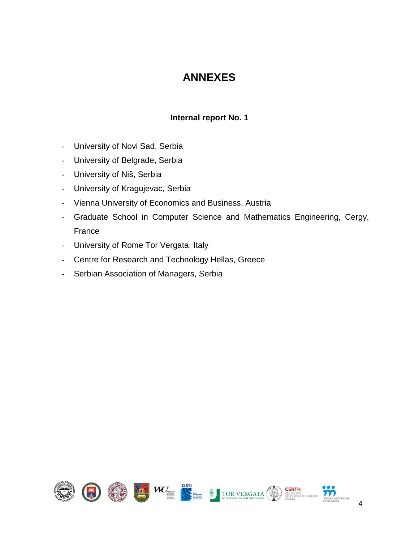#### **ANNEXES**

#### **Internal report No. 1**

- <span id="page-6-0"></span>- University of Novi Sad, Serbia
- University of Belgrade, Serbia
- University of Niš, Serbia
- University of Kragujevac, Serbia
- Vienna University of Economics and Business, Austria
- Graduate School in Computer Science and Mathematics Engineering, Cergy, France
- University of Rome Tor Vergata, Italy
- Centre for Research and Technology Hellas, Greece
- Serbian Association of Managers, Serbia

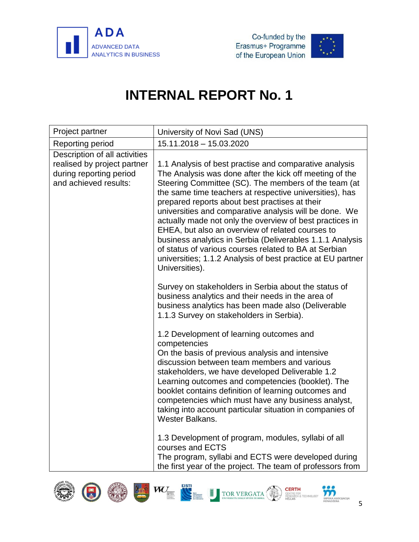



<span id="page-7-0"></span>

| Project partner                                                                                                  | University of Novi Sad (UNS)                                                                                                                                                                                                                                                                                                                                                                                                                                                                                                                                                                                                                                            |
|------------------------------------------------------------------------------------------------------------------|-------------------------------------------------------------------------------------------------------------------------------------------------------------------------------------------------------------------------------------------------------------------------------------------------------------------------------------------------------------------------------------------------------------------------------------------------------------------------------------------------------------------------------------------------------------------------------------------------------------------------------------------------------------------------|
| Reporting period                                                                                                 | 15.11.2018 - 15.03.2020                                                                                                                                                                                                                                                                                                                                                                                                                                                                                                                                                                                                                                                 |
| Description of all activities<br>realised by project partner<br>during reporting period<br>and achieved results: | 1.1 Analysis of best practise and comparative analysis<br>The Analysis was done after the kick off meeting of the<br>Steering Committee (SC). The members of the team (at<br>the same time teachers at respective universities), has<br>prepared reports about best practises at their<br>universities and comparative analysis will be done. We<br>actually made not only the overview of best practices in<br>EHEA, but also an overview of related courses to<br>business analytics in Serbia (Deliverables 1.1.1 Analysis<br>of status of various courses related to BA at Serbian<br>universities; 1.1.2 Analysis of best practice at EU partner<br>Universities). |
|                                                                                                                  | Survey on stakeholders in Serbia about the status of<br>business analytics and their needs in the area of<br>business analytics has been made also (Deliverable<br>1.1.3 Survey on stakeholders in Serbia).                                                                                                                                                                                                                                                                                                                                                                                                                                                             |
|                                                                                                                  | 1.2 Development of learning outcomes and<br>competencies<br>On the basis of previous analysis and intensive<br>discussion between team members and various<br>stakeholders, we have developed Deliverable 1.2<br>Learning outcomes and competencies (booklet). The<br>booklet contains definition of learning outcomes and<br>competencies which must have any business analyst,<br>taking into account particular situation in companies of<br>Wester Balkans.                                                                                                                                                                                                         |
|                                                                                                                  | 1.3 Development of program, modules, syllabi of all<br>courses and ECTS<br>The program, syllabi and ECTS were developed during<br>the first year of the project. The team of professors from                                                                                                                                                                                                                                                                                                                                                                                                                                                                            |









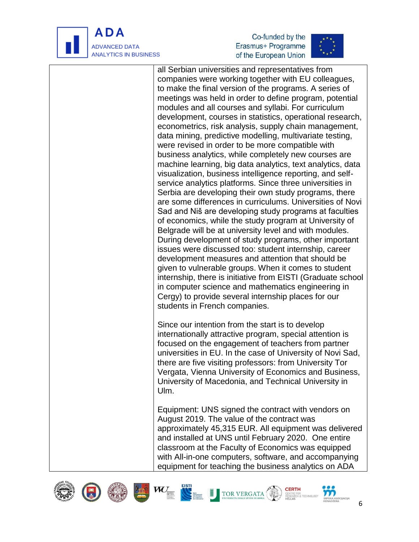

j





all Serbian universities and representatives from companies were working together with EU colleagues, to make the final version of the programs. A series of meetings was held in order to define program, potential modules and all courses and syllabi. For curriculum development, courses in statistics, operational research, econometrics, risk analysis, supply chain management, data mining, predictive modelling, multivariate testing, were revised in order to be more compatible with business analytics, while completely new courses are machine learning, big data analytics, text analytics, data visualization, business intelligence reporting, and selfservice analytics platforms. Since three universities in Serbia are developing their own study programs, there are some differences in curriculums. Universities of Novi Sad and Niš are developing study programs at faculties of economics, while the study program at University of Belgrade will be at university level and with modules. During development of study programs, other important issues were discussed too: student internship, career development measures and attention that should be given to vulnerable groups. When it comes to student internship, there is initiative from EISTI (Graduate school in computer science and mathematics engineering in Cergy) to provide several internship places for our students in French companies.

Since our intention from the start is to develop internationally attractive program, special attention is focused on the engagement of teachers from partner universities in EU. In the case of University of Novi Sad, there are five visiting professors: from University Tor Vergata, Vienna University of Economics and Business, University of Macedonia, and Technical University in Ulm.

Equipment: UNS signed the contract with vendors on August 2019. The value of the contract was approximately 45,315 EUR. All equipment was delivered and installed at UNS until February 2020. One entire classroom at the Faculty of Economics was equipped with All-in-one computers, software, and accompanying equipment for teaching the business analytics on ADA















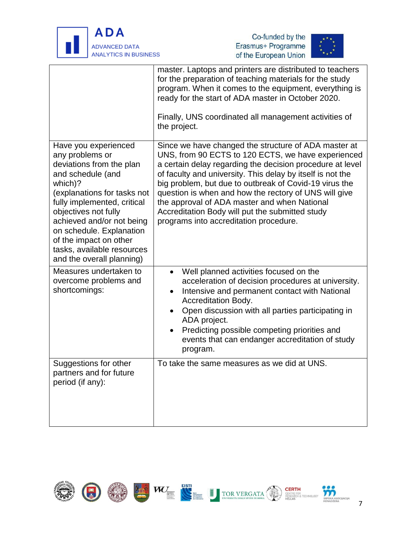





|                                                                                                                                                                                                                                                                                                                                         | master. Laptops and printers are distributed to teachers<br>for the preparation of teaching materials for the study<br>program. When it comes to the equipment, everything is<br>ready for the start of ADA master in October 2020.<br>Finally, UNS coordinated all management activities of<br>the project.                                                                                                                                                                                          |
|-----------------------------------------------------------------------------------------------------------------------------------------------------------------------------------------------------------------------------------------------------------------------------------------------------------------------------------------|-------------------------------------------------------------------------------------------------------------------------------------------------------------------------------------------------------------------------------------------------------------------------------------------------------------------------------------------------------------------------------------------------------------------------------------------------------------------------------------------------------|
| Have you experienced<br>any problems or<br>deviations from the plan<br>and schedule (and<br>which)?<br>(explanations for tasks not<br>fully implemented, critical<br>objectives not fully<br>achieved and/or not being<br>on schedule. Explanation<br>of the impact on other<br>tasks, available resources<br>and the overall planning) | Since we have changed the structure of ADA master at<br>UNS, from 90 ECTS to 120 ECTS, we have experienced<br>a certain delay regarding the decision procedure at level<br>of faculty and university. This delay by itself is not the<br>big problem, but due to outbreak of Covid-19 virus the<br>question is when and how the rectory of UNS will give<br>the approval of ADA master and when National<br>Accreditation Body will put the submitted study<br>programs into accreditation procedure. |
| Measures undertaken to<br>overcome problems and<br>shortcomings:                                                                                                                                                                                                                                                                        | Well planned activities focused on the<br>acceleration of decision procedures at university.<br>Intensive and permanent contact with National<br>٠<br>Accreditation Body.<br>Open discussion with all parties participating in<br>ADA project.<br>Predicting possible competing priorities and<br>events that can endanger accreditation of study<br>program.                                                                                                                                         |
| Suggestions for other<br>partners and for future<br>period (if any):                                                                                                                                                                                                                                                                    | To take the same measures as we did at UNS.                                                                                                                                                                                                                                                                                                                                                                                                                                                           |

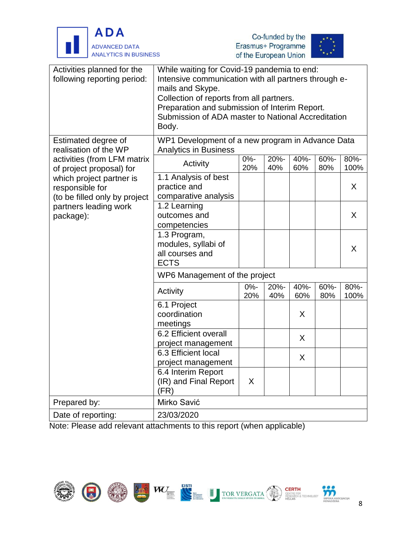





| Activities planned for the<br>following reporting period:                                                          | While waiting for Covid-19 pandemia to end:<br>Intensive communication with all partners through e-<br>mails and Skype.<br>Collection of reports from all partners.<br>Preparation and submission of Interim Report.<br>Submission of ADA master to National Accreditation<br>Body. |               |             |             |             |              |
|--------------------------------------------------------------------------------------------------------------------|-------------------------------------------------------------------------------------------------------------------------------------------------------------------------------------------------------------------------------------------------------------------------------------|---------------|-------------|-------------|-------------|--------------|
| Estimated degree of<br>realisation of the WP                                                                       | WP1 Development of a new program in Advance Data<br><b>Analytics in Business</b>                                                                                                                                                                                                    |               |             |             |             |              |
| activities (from LFM matrix<br>of project proposal) for                                                            | Activity                                                                                                                                                                                                                                                                            | $0% -$<br>20% | 20%-<br>40% | 40%-<br>60% | 60%-<br>80% | 80%-<br>100% |
| which project partner is<br>responsible for<br>(to be filled only by project<br>partners leading work<br>package): | 1.1 Analysis of best<br>practice and<br>comparative analysis                                                                                                                                                                                                                        |               |             |             |             | X            |
|                                                                                                                    | 1.2 Learning<br>outcomes and<br>competencies                                                                                                                                                                                                                                        |               |             |             |             | X            |
|                                                                                                                    | 1.3 Program,<br>modules, syllabi of<br>all courses and<br><b>ECTS</b>                                                                                                                                                                                                               |               |             |             |             | X            |
|                                                                                                                    | WP6 Management of the project                                                                                                                                                                                                                                                       |               |             |             |             |              |
|                                                                                                                    | Activity                                                                                                                                                                                                                                                                            | $0% -$<br>20% | 20%-<br>40% | 40%-<br>60% | 60%-<br>80% | 80%-<br>100% |
|                                                                                                                    | 6.1 Project<br>coordination<br>meetings                                                                                                                                                                                                                                             |               |             | X           |             |              |
|                                                                                                                    | 6.2 Efficient overall<br>project management                                                                                                                                                                                                                                         |               |             | X           |             |              |
|                                                                                                                    | 6.3 Efficient local<br>project management                                                                                                                                                                                                                                           |               |             | X           |             |              |
|                                                                                                                    | 6.4 Interim Report<br>(IR) and Final Report<br>(FR)                                                                                                                                                                                                                                 | X             |             |             |             |              |
| Prepared by:                                                                                                       | Mirko Savić                                                                                                                                                                                                                                                                         |               |             |             |             |              |
| Date of reporting:                                                                                                 | 23/03/2020                                                                                                                                                                                                                                                                          |               |             |             |             |              |

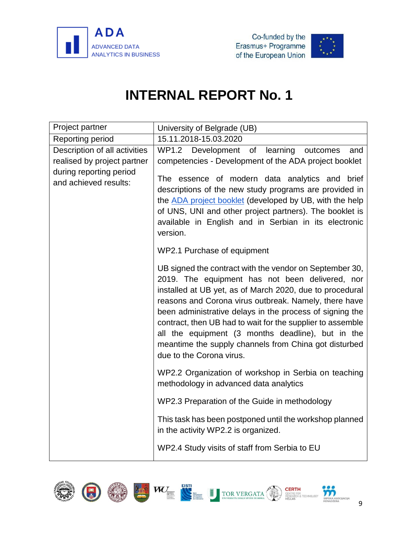



<span id="page-11-0"></span>

| Project partner                                                                                                  | University of Belgrade (UB)                                                                                                                                                                                                                                                                                                                                                                                                                                                                         |
|------------------------------------------------------------------------------------------------------------------|-----------------------------------------------------------------------------------------------------------------------------------------------------------------------------------------------------------------------------------------------------------------------------------------------------------------------------------------------------------------------------------------------------------------------------------------------------------------------------------------------------|
| Reporting period                                                                                                 | 15.11.2018-15.03.2020                                                                                                                                                                                                                                                                                                                                                                                                                                                                               |
| Description of all activities<br>realised by project partner<br>during reporting period<br>and achieved results: | WP1.2 Development of<br>learning<br>outcomes<br>and<br>competencies - Development of the ADA project booklet<br>The essence of modern data analytics and brief<br>descriptions of the new study programs are provided in<br>the ADA project booklet (developed by UB, with the help<br>of UNS, UNI and other project partners). The booklet is<br>available in English and in Serbian in its electronic<br>version.                                                                                 |
|                                                                                                                  | WP2.1 Purchase of equipment                                                                                                                                                                                                                                                                                                                                                                                                                                                                         |
|                                                                                                                  | UB signed the contract with the vendor on September 30,<br>2019. The equipment has not been delivered, nor<br>installed at UB yet, as of March 2020, due to procedural<br>reasons and Corona virus outbreak. Namely, there have<br>been administrative delays in the process of signing the<br>contract, then UB had to wait for the supplier to assemble<br>all the equipment (3 months deadline), but in the<br>meantime the supply channels from China got disturbed<br>due to the Corona virus. |
|                                                                                                                  | WP2.2 Organization of workshop in Serbia on teaching<br>methodology in advanced data analytics                                                                                                                                                                                                                                                                                                                                                                                                      |
|                                                                                                                  | WP2.3 Preparation of the Guide in methodology                                                                                                                                                                                                                                                                                                                                                                                                                                                       |
|                                                                                                                  | This task has been postponed until the workshop planned<br>in the activity WP2.2 is organized.                                                                                                                                                                                                                                                                                                                                                                                                      |
|                                                                                                                  | WP2.4 Study visits of staff from Serbia to EU                                                                                                                                                                                                                                                                                                                                                                                                                                                       |

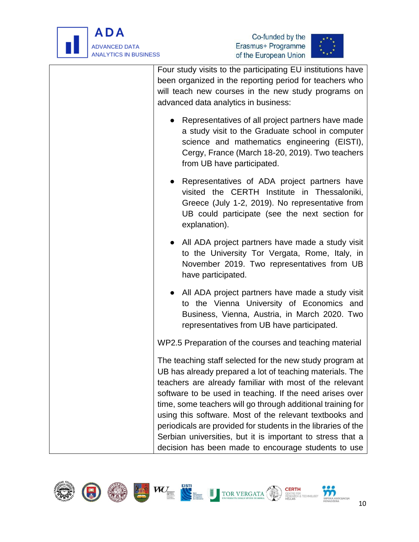



| Four study visits to the participating EU institutions have<br>been organized in the reporting period for teachers who<br>will teach new courses in the new study programs on<br>advanced data analytics in business:                                                                                      |
|------------------------------------------------------------------------------------------------------------------------------------------------------------------------------------------------------------------------------------------------------------------------------------------------------------|
| Representatives of all project partners have made<br>$\bullet$<br>a study visit to the Graduate school in computer<br>science and mathematics engineering (EISTI),<br>Cergy, France (March 18-20, 2019). Two teachers<br>from UB have participated.                                                        |
| Representatives of ADA project partners have<br>$\bullet$<br>visited the CERTH Institute in Thessaloniki,<br>Greece (July 1-2, 2019). No representative from<br>UB could participate (see the next section for<br>explanation).                                                                            |
| All ADA project partners have made a study visit<br>to the University Tor Vergata, Rome, Italy, in<br>November 2019. Two representatives from UB<br>have participated.                                                                                                                                     |
| All ADA project partners have made a study visit<br>to the Vienna University of Economics and<br>Business, Vienna, Austria, in March 2020. Two<br>representatives from UB have participated.                                                                                                               |
| WP2.5 Preparation of the courses and teaching material                                                                                                                                                                                                                                                     |
| The teaching staff selected for the new study program at<br>UB has already prepared a lot of teaching materials. The<br>teachers are already familiar with most of the relevant<br>software to be used in teaching. If the need arises over<br>time, some teachers will go through additional training for |
| using this software. Most of the relevant textbooks and<br>periodicals are provided for students in the libraries of the                                                                                                                                                                                   |
| Serbian universities, but it is important to stress that a<br>decision has been made to encourage students to use                                                                                                                                                                                          |

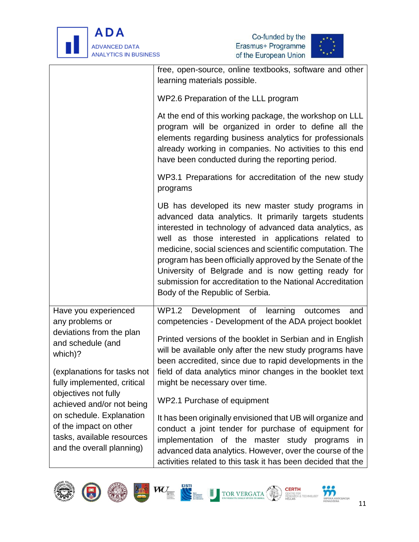





|                                                                                                                                                                                                                                                                                              | free, open-source, online textbooks, software and other<br>learning materials possible.                                                                                                                                                                                                                                                                                                                                                                                                                         |  |  |  |  |
|----------------------------------------------------------------------------------------------------------------------------------------------------------------------------------------------------------------------------------------------------------------------------------------------|-----------------------------------------------------------------------------------------------------------------------------------------------------------------------------------------------------------------------------------------------------------------------------------------------------------------------------------------------------------------------------------------------------------------------------------------------------------------------------------------------------------------|--|--|--|--|
|                                                                                                                                                                                                                                                                                              | WP2.6 Preparation of the LLL program                                                                                                                                                                                                                                                                                                                                                                                                                                                                            |  |  |  |  |
|                                                                                                                                                                                                                                                                                              | At the end of this working package, the workshop on LLL<br>program will be organized in order to define all the<br>elements regarding business analytics for professionals<br>already working in companies. No activities to this end<br>have been conducted during the reporting period.                                                                                                                                                                                                                       |  |  |  |  |
|                                                                                                                                                                                                                                                                                              | WP3.1 Preparations for accreditation of the new study<br>programs                                                                                                                                                                                                                                                                                                                                                                                                                                               |  |  |  |  |
|                                                                                                                                                                                                                                                                                              | UB has developed its new master study programs in<br>advanced data analytics. It primarily targets students<br>interested in technology of advanced data analytics, as<br>well as those interested in applications related to<br>medicine, social sciences and scientific computation. The<br>program has been officially approved by the Senate of the<br>University of Belgrade and is now getting ready for<br>submission for accreditation to the National Accreditation<br>Body of the Republic of Serbia. |  |  |  |  |
| Have you experienced<br>any problems or                                                                                                                                                                                                                                                      | WP1.2 Development<br>of learning<br>outcomes<br>and<br>competencies - Development of the ADA project booklet                                                                                                                                                                                                                                                                                                                                                                                                    |  |  |  |  |
| deviations from the plan<br>and schedule (and<br>which)?<br>(explanations for tasks not<br>fully implemented, critical<br>objectives not fully<br>achieved and/or not being<br>on schedule. Explanation<br>of the impact on other<br>tasks, available resources<br>and the overall planning) | Printed versions of the booklet in Serbian and in English<br>will be available only after the new study programs have<br>been accredited, since due to rapid developments in the                                                                                                                                                                                                                                                                                                                                |  |  |  |  |
|                                                                                                                                                                                                                                                                                              | field of data analytics minor changes in the booklet text<br>might be necessary over time.                                                                                                                                                                                                                                                                                                                                                                                                                      |  |  |  |  |
|                                                                                                                                                                                                                                                                                              | WP2.1 Purchase of equipment                                                                                                                                                                                                                                                                                                                                                                                                                                                                                     |  |  |  |  |
|                                                                                                                                                                                                                                                                                              | It has been originally envisioned that UB will organize and<br>conduct a joint tender for purchase of equipment for<br>implementation of the master study programs in<br>advanced data analytics. However, over the course of the<br>activities related to this task it has been decided that the                                                                                                                                                                                                               |  |  |  |  |



**SRPSKAA**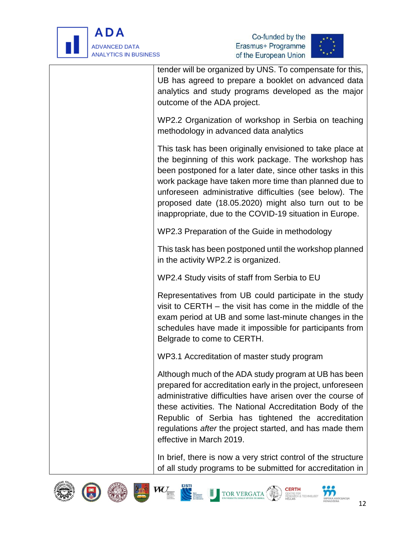





| tender will be organized by UNS. To compensate for this,<br>UB has agreed to prepare a booklet on advanced data<br>analytics and study programs developed as the major<br>outcome of the ADA project.                                                                                                                                                                                                                  |
|------------------------------------------------------------------------------------------------------------------------------------------------------------------------------------------------------------------------------------------------------------------------------------------------------------------------------------------------------------------------------------------------------------------------|
| WP2.2 Organization of workshop in Serbia on teaching<br>methodology in advanced data analytics                                                                                                                                                                                                                                                                                                                         |
| This task has been originally envisioned to take place at<br>the beginning of this work package. The workshop has<br>been postponed for a later date, since other tasks in this<br>work package have taken more time than planned due to<br>unforeseen administrative difficulties (see below). The<br>proposed date (18.05.2020) might also turn out to be<br>inappropriate, due to the COVID-19 situation in Europe. |
| WP2.3 Preparation of the Guide in methodology                                                                                                                                                                                                                                                                                                                                                                          |
| This task has been postponed until the workshop planned<br>in the activity WP2.2 is organized.                                                                                                                                                                                                                                                                                                                         |
| WP2.4 Study visits of staff from Serbia to EU                                                                                                                                                                                                                                                                                                                                                                          |
| Representatives from UB could participate in the study<br>visit to CERTH $-$ the visit has come in the middle of the<br>exam period at UB and some last-minute changes in the<br>schedules have made it impossible for participants from<br>Belgrade to come to CERTH.                                                                                                                                                 |
| WP3.1 Accreditation of master study program                                                                                                                                                                                                                                                                                                                                                                            |
| Although much of the ADA study program at UB has been<br>prepared for accreditation early in the project, unforeseen<br>administrative difficulties have arisen over the course of<br>these activities. The National Accreditation Body of the<br>Republic of Serbia has tightened the accreditation<br>regulations after the project started, and has made them<br>effective in March 2019.                           |

In brief, there is now a very strict control of the structure of all study programs to be submitted for accreditation in









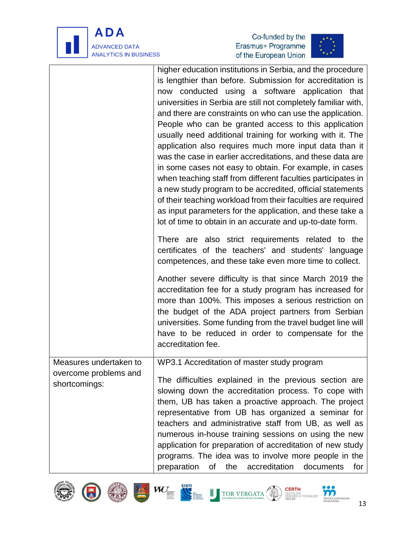





|                                                                  | higher education institutions in Serbia, and the procedure<br>is lengthier than before. Submission for accreditation is<br>now conducted using a software application that<br>universities in Serbia are still not completely familiar with,<br>and there are constraints on who can use the application.<br>People who can be granted access to this application<br>usually need additional training for working with it. The<br>application also requires much more input data than it<br>was the case in earlier accreditations, and these data are<br>in some cases not easy to obtain. For example, in cases<br>when teaching staff from different faculties participates in<br>a new study program to be accredited, official statements<br>of their teaching workload from their faculties are required<br>as input parameters for the application, and these take a<br>lot of time to obtain in an accurate and up-to-date form. |
|------------------------------------------------------------------|------------------------------------------------------------------------------------------------------------------------------------------------------------------------------------------------------------------------------------------------------------------------------------------------------------------------------------------------------------------------------------------------------------------------------------------------------------------------------------------------------------------------------------------------------------------------------------------------------------------------------------------------------------------------------------------------------------------------------------------------------------------------------------------------------------------------------------------------------------------------------------------------------------------------------------------|
|                                                                  | There are also strict requirements related to the<br>certificates of the teachers' and students' language<br>competences, and these take even more time to collect.                                                                                                                                                                                                                                                                                                                                                                                                                                                                                                                                                                                                                                                                                                                                                                      |
|                                                                  | Another severe difficulty is that since March 2019 the<br>accreditation fee for a study program has increased for<br>more than 100%. This imposes a serious restriction on<br>the budget of the ADA project partners from Serbian<br>universities. Some funding from the travel budget line will<br>have to be reduced in order to compensate for the<br>accreditation fee.                                                                                                                                                                                                                                                                                                                                                                                                                                                                                                                                                              |
| Measures undertaken to<br>overcome problems and<br>shortcomings: | WP3.1 Accreditation of master study program<br>The difficulties explained in the previous section are<br>slowing down the accreditation process. To cope with<br>them, UB has taken a proactive approach. The project<br>representative from UB has organized a seminar for<br>teachers and administrative staff from UB, as well as<br>numerous in-house training sessions on using the new<br>application for preparation of accreditation of new study<br>programs. The idea was to involve more people in the<br>preparation<br>the<br>accreditation<br>documents<br>Οf<br>for                                                                                                                                                                                                                                                                                                                                                       |











**CERTH**<br>CENTRE FOR<br>RESEARCH & TECHNOLOGY<br>HELLAS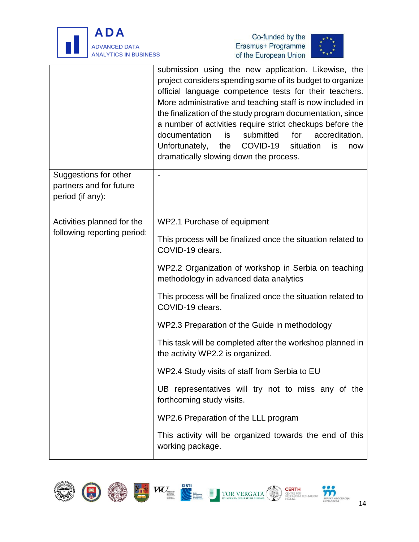





|                                                                      | submission using the new application. Likewise, the<br>project considers spending some of its budget to organize<br>official language competence tests for their teachers.<br>More administrative and teaching staff is now included in<br>the finalization of the study program documentation, since<br>a number of activities require strict checkups before the<br>accreditation.<br>documentation<br>submitted<br>is<br>for<br>COVID-19<br>Unfortunately,<br>the<br>situation<br>is<br>now<br>dramatically slowing down the process. |  |  |
|----------------------------------------------------------------------|------------------------------------------------------------------------------------------------------------------------------------------------------------------------------------------------------------------------------------------------------------------------------------------------------------------------------------------------------------------------------------------------------------------------------------------------------------------------------------------------------------------------------------------|--|--|
| Suggestions for other<br>partners and for future<br>period (if any): |                                                                                                                                                                                                                                                                                                                                                                                                                                                                                                                                          |  |  |
| Activities planned for the<br>following reporting period:            | WP2.1 Purchase of equipment<br>This process will be finalized once the situation related to<br>COVID-19 clears.                                                                                                                                                                                                                                                                                                                                                                                                                          |  |  |
|                                                                      | WP2.2 Organization of workshop in Serbia on teaching<br>methodology in advanced data analytics                                                                                                                                                                                                                                                                                                                                                                                                                                           |  |  |
|                                                                      | This process will be finalized once the situation related to<br>COVID-19 clears.                                                                                                                                                                                                                                                                                                                                                                                                                                                         |  |  |
|                                                                      | WP2.3 Preparation of the Guide in methodology                                                                                                                                                                                                                                                                                                                                                                                                                                                                                            |  |  |
|                                                                      | This task will be completed after the workshop planned in<br>the activity WP2.2 is organized.                                                                                                                                                                                                                                                                                                                                                                                                                                            |  |  |
|                                                                      | WP2.4 Study visits of staff from Serbia to EU                                                                                                                                                                                                                                                                                                                                                                                                                                                                                            |  |  |
|                                                                      | UB representatives will try not to miss any of the<br>forthcoming study visits.                                                                                                                                                                                                                                                                                                                                                                                                                                                          |  |  |
|                                                                      | WP2.6 Preparation of the LLL program                                                                                                                                                                                                                                                                                                                                                                                                                                                                                                     |  |  |
|                                                                      | This activity will be organized towards the end of this<br>working package.                                                                                                                                                                                                                                                                                                                                                                                                                                                              |  |  |











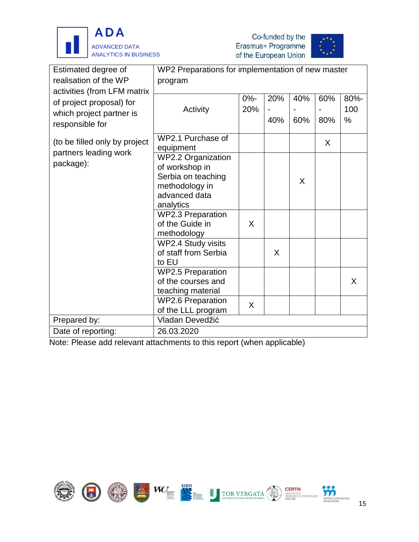





| Estimated degree of<br>realisation of the WP<br>activities (from LFM matrix | WP2 Preparations for implementation of new master<br>program |        |     |     |     |      |
|-----------------------------------------------------------------------------|--------------------------------------------------------------|--------|-----|-----|-----|------|
|                                                                             |                                                              |        |     |     |     |      |
|                                                                             |                                                              | $0% -$ | 20% | 40% | 60% | 80%- |
| of project proposal) for                                                    | Activity                                                     | 20%    |     |     |     | 100  |
| which project partner is<br>responsible for                                 |                                                              |        | 40% | 60% | 80% | %    |
|                                                                             |                                                              |        |     |     |     |      |
| (to be filled only by project                                               | WP2.1 Purchase of                                            |        |     |     | X   |      |
| partners leading work                                                       | equipment<br><b>WP2.2 Organization</b>                       |        |     |     |     |      |
| package):                                                                   | of workshop in                                               |        |     |     |     |      |
|                                                                             | Serbia on teaching                                           |        |     |     |     |      |
|                                                                             | methodology in                                               |        |     | X   |     |      |
|                                                                             | advanced data                                                |        |     |     |     |      |
|                                                                             | analytics                                                    |        |     |     |     |      |
|                                                                             | <b>WP2.3 Preparation</b>                                     |        |     |     |     |      |
|                                                                             | of the Guide in                                              | X      |     |     |     |      |
|                                                                             | methodology                                                  |        |     |     |     |      |
|                                                                             | WP2.4 Study visits                                           |        |     |     |     |      |
|                                                                             | of staff from Serbia                                         |        | X   |     |     |      |
|                                                                             | to EU                                                        |        |     |     |     |      |
|                                                                             | <b>WP2.5 Preparation</b>                                     |        |     |     |     |      |
|                                                                             | of the courses and                                           |        |     |     |     | X    |
|                                                                             | teaching material                                            |        |     |     |     |      |
|                                                                             | <b>WP2.6 Preparation</b>                                     | X      |     |     |     |      |
|                                                                             | of the LLL program                                           |        |     |     |     |      |
| Prepared by:                                                                | Vladan Devedžić                                              |        |     |     |     |      |
| Date of reporting:                                                          | 26.03.2020                                                   |        |     |     |     |      |

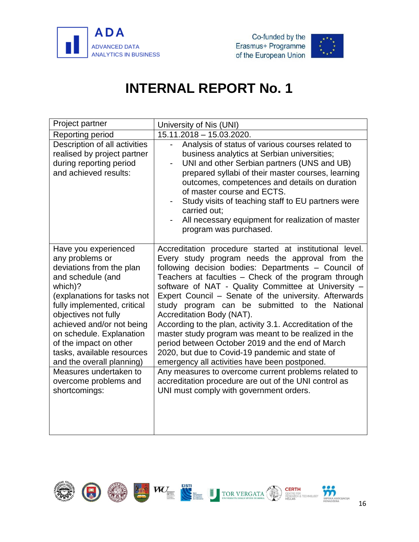



<span id="page-18-0"></span>

| Project partner                                                                                                                                                                                                                                                                                                                         | University of Nis (UNI)                                                                                                                                                                                                                                                                                                                                                                                                                                                                                                                                                                                                                                                                               |
|-----------------------------------------------------------------------------------------------------------------------------------------------------------------------------------------------------------------------------------------------------------------------------------------------------------------------------------------|-------------------------------------------------------------------------------------------------------------------------------------------------------------------------------------------------------------------------------------------------------------------------------------------------------------------------------------------------------------------------------------------------------------------------------------------------------------------------------------------------------------------------------------------------------------------------------------------------------------------------------------------------------------------------------------------------------|
| Reporting period                                                                                                                                                                                                                                                                                                                        | 15.11.2018 - 15.03.2020.                                                                                                                                                                                                                                                                                                                                                                                                                                                                                                                                                                                                                                                                              |
| Description of all activities<br>realised by project partner<br>during reporting period<br>and achieved results:                                                                                                                                                                                                                        | Analysis of status of various courses related to<br>business analytics at Serbian universities;<br>UNI and other Serbian partners (UNS and UB)<br>$\overline{\phantom{0}}$<br>prepared syllabi of their master courses, learning<br>outcomes, competences and details on duration<br>of master course and ECTS.<br>Study visits of teaching staff to EU partners were<br>carried out:<br>All necessary equipment for realization of master<br>program was purchased.                                                                                                                                                                                                                                  |
| Have you experienced<br>any problems or<br>deviations from the plan<br>and schedule (and<br>which)?<br>(explanations for tasks not<br>fully implemented, critical<br>objectives not fully<br>achieved and/or not being<br>on schedule. Explanation<br>of the impact on other<br>tasks, available resources<br>and the overall planning) | Accreditation procedure started at institutional level.<br>Every study program needs the approval from the<br>following decision bodies: Departments - Council of<br>Teachers at faculties - Check of the program through<br>software of NAT - Quality Committee at University -<br>Expert Council - Senate of the university. Afterwards<br>study program can be submitted to the National<br>Accreditation Body (NAT).<br>According to the plan, activity 3.1. Accreditation of the<br>master study program was meant to be realized in the<br>period between October 2019 and the end of March<br>2020, but due to Covid-19 pandemic and state of<br>emergency all activities have been postponed. |
| Measures undertaken to<br>overcome problems and<br>shortcomings:                                                                                                                                                                                                                                                                        | Any measures to overcome current problems related to<br>accreditation procedure are out of the UNI control as<br>UNI must comply with government orders.                                                                                                                                                                                                                                                                                                                                                                                                                                                                                                                                              |

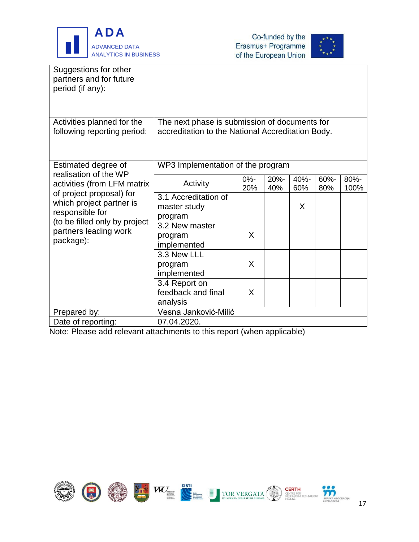



| Suggestions for other<br>partners and for future<br>period (if any): |                                                   |        |         |      |      |      |
|----------------------------------------------------------------------|---------------------------------------------------|--------|---------|------|------|------|
| Activities planned for the                                           | The next phase is submission of documents for     |        |         |      |      |      |
| following reporting period:                                          | accreditation to the National Accreditation Body. |        |         |      |      |      |
|                                                                      |                                                   |        |         |      |      |      |
| Estimated degree of<br>realisation of the WP                         | WP3 Implementation of the program                 |        |         |      |      |      |
| activities (from LFM matrix                                          | Activity                                          | $0% -$ | $20% -$ | 40%- | 60%- | 80%- |
| of project proposal) for                                             |                                                   | 20%    | 40%     | 60%  | 80%  | 100% |
| which project partner is                                             | 3.1 Accreditation of                              |        |         |      |      |      |
| responsible for                                                      | master study                                      |        |         | X    |      |      |
| (to be filled only by project                                        | program<br>3.2 New master                         |        |         |      |      |      |
| partners leading work                                                |                                                   | X      |         |      |      |      |
| package):                                                            | program<br>implemented                            |        |         |      |      |      |
|                                                                      | 3.3 New LLL                                       |        |         |      |      |      |
|                                                                      | program                                           | X      |         |      |      |      |
|                                                                      | implemented                                       |        |         |      |      |      |
|                                                                      | 3.4 Report on                                     |        |         |      |      |      |
|                                                                      | feedback and final                                | X      |         |      |      |      |
|                                                                      | analysis                                          |        |         |      |      |      |
| Prepared by:                                                         | Vesna Janković-Milić                              |        |         |      |      |      |
| Date of reporting:                                                   | 07.04.2020.                                       |        |         |      |      |      |

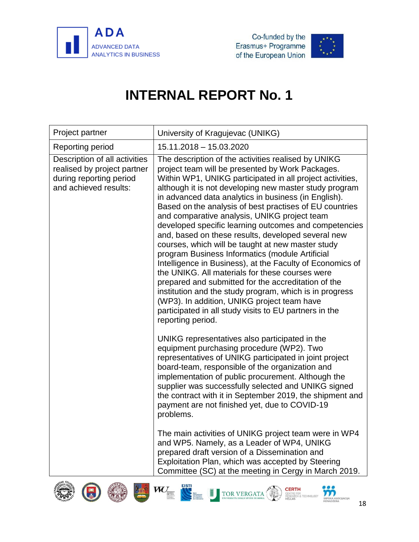



<span id="page-20-0"></span>

| Project partner                                                                                                  | University of Kragujevac (UNIKG)                                                                                                                                                                                                                                                                                                                                                                                                                                                                                                                                                                                                                                                                                                                                                                                                                                                                                                                                                         |
|------------------------------------------------------------------------------------------------------------------|------------------------------------------------------------------------------------------------------------------------------------------------------------------------------------------------------------------------------------------------------------------------------------------------------------------------------------------------------------------------------------------------------------------------------------------------------------------------------------------------------------------------------------------------------------------------------------------------------------------------------------------------------------------------------------------------------------------------------------------------------------------------------------------------------------------------------------------------------------------------------------------------------------------------------------------------------------------------------------------|
| Reporting period                                                                                                 | 15.11.2018 - 15.03.2020                                                                                                                                                                                                                                                                                                                                                                                                                                                                                                                                                                                                                                                                                                                                                                                                                                                                                                                                                                  |
| Description of all activities<br>realised by project partner<br>during reporting period<br>and achieved results: | The description of the activities realised by UNIKG<br>project team will be presented by Work Packages.<br>Within WP1, UNIKG participated in all project activities,<br>although it is not developing new master study program<br>in advanced data analytics in business (in English).<br>Based on the analysis of best practises of EU countries<br>and comparative analysis, UNIKG project team<br>developed specific learning outcomes and competencies<br>and, based on these results, developed several new<br>courses, which will be taught at new master study<br>program Business Informatics (module Artificial<br>Intelligence in Business), at the Faculty of Economics of<br>the UNIKG. All materials for these courses were<br>prepared and submitted for the accreditation of the<br>institution and the study program, which is in progress<br>(WP3). In addition, UNIKG project team have<br>participated in all study visits to EU partners in the<br>reporting period. |
|                                                                                                                  | UNIKG representatives also participated in the<br>equipment purchasing procedure (WP2). Two<br>representatives of UNIKG participated in joint project<br>board-team, responsible of the organization and<br>implementation of public procurement. Although the<br>supplier was successfully selected and UNIKG signed<br>the contract with it in September 2019, the shipment and<br>payment are not finished yet, due to COVID-19<br>problems.                                                                                                                                                                                                                                                                                                                                                                                                                                                                                                                                          |
|                                                                                                                  | The main activities of UNIKG project team were in WP4<br>and WP5. Namely, as a Leader of WP4, UNIKG<br>prepared draft version of a Dissemination and<br>Exploitation Plan, which was accepted by Steering<br>Committee (SC) at the meeting in Cergy in March 2019.                                                                                                                                                                                                                                                                                                                                                                                                                                                                                                                                                                                                                                                                                                                       |
|                                                                                                                  | EISTI<br>W<br>CERTH<br>TOR VERGAT<br><b>RPSKA ASOCIJACIJA</b><br><b>IENADŽERA</b><br>10                                                                                                                                                                                                                                                                                                                                                                                                                                                                                                                                                                                                                                                                                                                                                                                                                                                                                                  |



18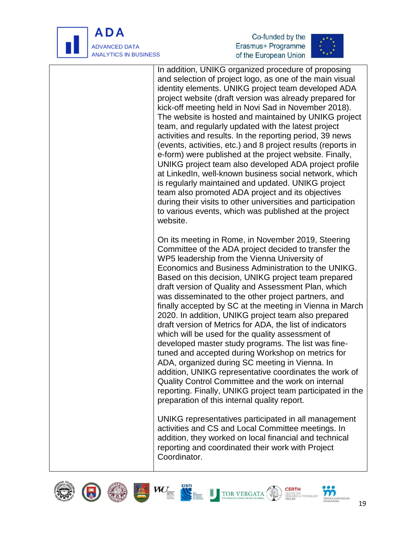

j





In addition, UNIKG organized procedure of proposing and selection of project logo, as one of the main visual identity elements. UNIKG project team developed ADA project website (draft version was already prepared for kick-off meeting held in Novi Sad in November 2018). The website is hosted and maintained by UNIKG project team, and regularly updated with the latest project activities and results. In the reporting period, 39 news (events, activities, etc.) and 8 project results (reports in e-form) were published at the project website. Finally, UNIKG project team also developed ADA project profile at LinkedIn, well-known business social network, which is regularly maintained and updated. UNIKG project team also promoted ADA project and its objectives during their visits to other universities and participation to various events, which was published at the project website.

On its meeting in Rome, in November 2019, Steering Committee of the ADA project decided to transfer the WP5 leadership from the Vienna University of Economics and Business Administration to the UNIKG. Based on this decision, UNIKG project team prepared draft version of Quality and Assessment Plan, which was disseminated to the other project partners, and finally accepted by SC at the meeting in Vienna in March 2020. In addition, UNIKG project team also prepared draft version of Metrics for ADA, the list of indicators which will be used for the quality assessment of developed master study programs. The list was finetuned and accepted during Workshop on metrics for ADA, organized during SC meeting in Vienna. In addition, UNIKG representative coordinates the work of Quality Control Committee and the work on internal reporting. Finally, UNIKG project team participated in the preparation of this internal quality report.

UNIKG representatives participated in all management activities and CS and Local Committee meetings. In addition, they worked on local financial and technical reporting and coordinated their work with Project Coordinator.









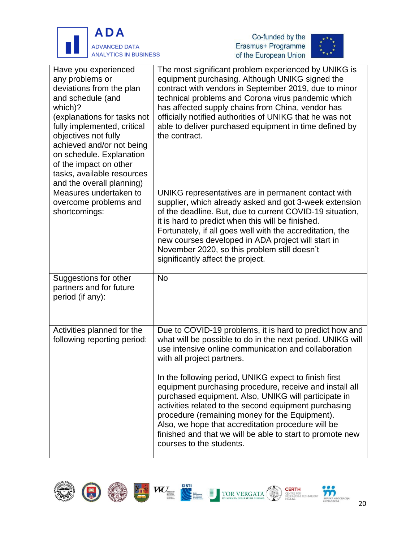





| Have you experienced<br>any problems or<br>deviations from the plan<br>and schedule (and<br>which)?<br>(explanations for tasks not<br>fully implemented, critical<br>objectives not fully<br>achieved and/or not being<br>on schedule. Explanation<br>of the impact on other<br>tasks, available resources<br>and the overall planning) | The most significant problem experienced by UNIKG is<br>equipment purchasing. Although UNIKG signed the<br>contract with vendors in September 2019, due to minor<br>technical problems and Corona virus pandemic which<br>has affected supply chains from China, vendor has<br>officially notified authorities of UNIKG that he was not<br>able to deliver purchased equipment in time defined by<br>the contract.                                                                                                                                                                                                                                |
|-----------------------------------------------------------------------------------------------------------------------------------------------------------------------------------------------------------------------------------------------------------------------------------------------------------------------------------------|---------------------------------------------------------------------------------------------------------------------------------------------------------------------------------------------------------------------------------------------------------------------------------------------------------------------------------------------------------------------------------------------------------------------------------------------------------------------------------------------------------------------------------------------------------------------------------------------------------------------------------------------------|
| Measures undertaken to<br>overcome problems and<br>shortcomings:                                                                                                                                                                                                                                                                        | UNIKG representatives are in permanent contact with<br>supplier, which already asked and got 3-week extension<br>of the deadline. But, due to current COVID-19 situation,<br>it is hard to predict when this will be finished.<br>Fortunately, if all goes well with the accreditation, the<br>new courses developed in ADA project will start in<br>November 2020, so this problem still doesn't<br>significantly affect the project.                                                                                                                                                                                                            |
| Suggestions for other<br>partners and for future<br>period (if any):                                                                                                                                                                                                                                                                    | <b>No</b>                                                                                                                                                                                                                                                                                                                                                                                                                                                                                                                                                                                                                                         |
| Activities planned for the<br>following reporting period:                                                                                                                                                                                                                                                                               | Due to COVID-19 problems, it is hard to predict how and<br>what will be possible to do in the next period. UNIKG will<br>use intensive online communication and collaboration<br>with all project partners.<br>In the following period, UNIKG expect to finish first<br>equipment purchasing procedure, receive and install all<br>purchased equipment. Also, UNIKG will participate in<br>activities related to the second equipment purchasing<br>procedure (remaining money for the Equipment).<br>Also, we hope that accreditation procedure will be<br>finished and that we will be able to start to promote new<br>courses to the students. |













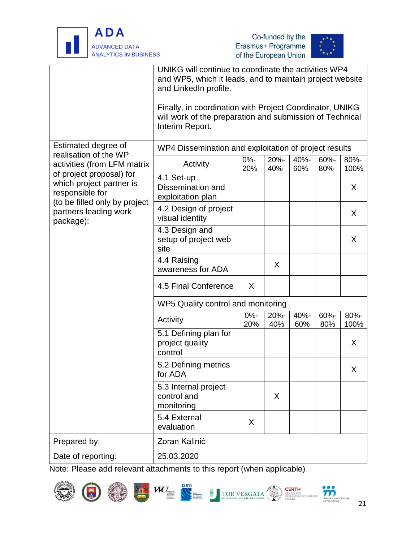





|                                                                         | UNIKG will continue to coordinate the activities WP4<br>and WP5, which it leads, and to maintain project website<br>and LinkedIn profile.<br>Finally, in coordination with Project Coordinator, UNIKG<br>will work of the preparation and submission of Technical<br>Interim Report. |               |             |             |             |              |
|-------------------------------------------------------------------------|--------------------------------------------------------------------------------------------------------------------------------------------------------------------------------------------------------------------------------------------------------------------------------------|---------------|-------------|-------------|-------------|--------------|
| Estimated degree of                                                     | WP4 Dissemination and exploitation of project results                                                                                                                                                                                                                                |               |             |             |             |              |
| realisation of the WP<br>activities (from LFM matrix                    | Activity                                                                                                                                                                                                                                                                             | $0% -$<br>20% | 20%-<br>40% | 40%-<br>60% | 60%-<br>80% | 80%-<br>100% |
| of project proposal) for<br>which project partner is<br>responsible for | 4.1 Set-up<br>Dissemination and<br>exploitation plan                                                                                                                                                                                                                                 |               |             |             |             | X.           |
| (to be filled only by project<br>partners leading work<br>package):     | 4.2 Design of project<br>visual identity                                                                                                                                                                                                                                             |               |             |             |             | X.           |
|                                                                         | 4.3 Design and<br>setup of project web<br>site                                                                                                                                                                                                                                       |               |             |             |             | X            |
|                                                                         | 4.4 Raising<br>awareness for ADA                                                                                                                                                                                                                                                     |               | X           |             |             |              |
|                                                                         | 4.5 Final Conference                                                                                                                                                                                                                                                                 | X             |             |             |             |              |
|                                                                         | WP5 Quality control and monitoring                                                                                                                                                                                                                                                   |               |             |             |             |              |
|                                                                         | Activity                                                                                                                                                                                                                                                                             | $0% -$<br>20% | 20%-<br>40% | 40%-<br>60% | 60%-<br>80% | 80%-<br>100% |
|                                                                         | 5.1 Defining plan for<br>project quality<br>control                                                                                                                                                                                                                                  |               |             |             |             | X            |
|                                                                         | 5.2 Defining metrics<br>for ADA                                                                                                                                                                                                                                                      |               |             |             |             | X            |
|                                                                         | 5.3 Internal project<br>control and<br>monitoring                                                                                                                                                                                                                                    |               | X           |             |             |              |
|                                                                         | 5.4 External<br>evaluation                                                                                                                                                                                                                                                           | X             |             |             |             |              |
| Prepared by:                                                            | Zoran Kalinić                                                                                                                                                                                                                                                                        |               |             |             |             |              |
| Date of reporting:                                                      | 25.03.2020                                                                                                                                                                                                                                                                           |               |             |             |             |              |















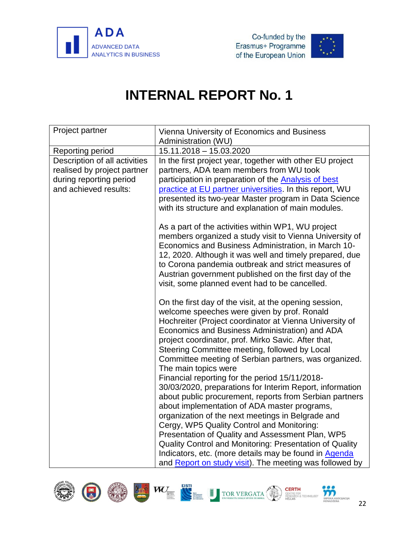

<span id="page-24-0"></span>

| Project partner                                                                                                  | Vienna University of Economics and Business<br>Administration (WU)                                                                                                                                                                                                                                                                                                                                                                                                                                                                                                                                                                                                                                                                                                                                                                                                                                                                                                         |
|------------------------------------------------------------------------------------------------------------------|----------------------------------------------------------------------------------------------------------------------------------------------------------------------------------------------------------------------------------------------------------------------------------------------------------------------------------------------------------------------------------------------------------------------------------------------------------------------------------------------------------------------------------------------------------------------------------------------------------------------------------------------------------------------------------------------------------------------------------------------------------------------------------------------------------------------------------------------------------------------------------------------------------------------------------------------------------------------------|
| Reporting period                                                                                                 | 15.11.2018 - 15.03.2020                                                                                                                                                                                                                                                                                                                                                                                                                                                                                                                                                                                                                                                                                                                                                                                                                                                                                                                                                    |
| Description of all activities<br>realised by project partner<br>during reporting period<br>and achieved results: | In the first project year, together with other EU project<br>partners, ADA team members from WU took<br>participation in preparation of the <b>Analysis of best</b><br>practice at EU partner universities. In this report, WU<br>presented its two-year Master program in Data Science<br>with its structure and explanation of main modules.                                                                                                                                                                                                                                                                                                                                                                                                                                                                                                                                                                                                                             |
|                                                                                                                  | As a part of the activities within WP1, WU project<br>members organized a study visit to Vienna University of<br>Economics and Business Administration, in March 10-<br>12, 2020. Although it was well and timely prepared, due<br>to Corona pandemia outbreak and strict measures of<br>Austrian government published on the first day of the<br>visit, some planned event had to be cancelled.                                                                                                                                                                                                                                                                                                                                                                                                                                                                                                                                                                           |
|                                                                                                                  | On the first day of the visit, at the opening session,<br>welcome speeches were given by prof. Ronald<br>Hochreiter (Project coordinator at Vienna University of<br>Economics and Business Administration) and ADA<br>project coordinator, prof. Mirko Savic. After that,<br>Steering Committee meeting, followed by Local<br>Committee meeting of Serbian partners, was organized.<br>The main topics were<br>Financial reporting for the period 15/11/2018-<br>30/03/2020, preparations for Interim Report, information<br>about public procurement, reports from Serbian partners<br>about implementation of ADA master programs,<br>organization of the next meetings in Belgrade and<br>Cergy, WP5 Quality Control and Monitoring:<br>Presentation of Quality and Assessment Plan, WP5<br>Quality Control and Monitoring: Presentation of Quality<br>Indicators, etc. (more details may be found in Agenda<br>and Report on study visit). The meeting was followed by |









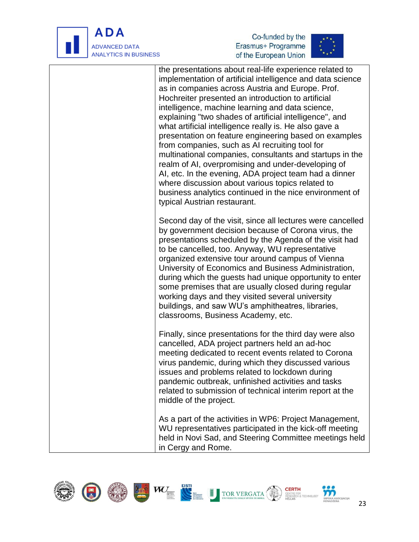

j





the presentations about real-life experience related to implementation of artificial intelligence and data science as in companies across Austria and Europe. Prof. Hochreiter presented an introduction to artificial intelligence, machine learning and data science, explaining "two shades of artificial intelligence", and what artificial intelligence really is. He also gave a presentation on feature engineering based on examples from companies, such as AI recruiting tool for multinational companies, consultants and startups in the realm of AI, overpromising and under-developing of AI, etc. In the evening, ADA project team had a dinner where discussion about various topics related to business analytics continued in the nice environment of typical Austrian restaurant. Second day of the visit, since all lectures were cancelled by government decision because of Corona virus, the presentations scheduled by the Agenda of the visit had to be cancelled, too. Anyway, WU representative organized extensive tour around campus of Vienna University of Economics and Business Administration, during which the guests had unique opportunity to enter some premises that are usually closed during regular working days and they visited several university buildings, and saw WU's amphitheatres, libraries, classrooms, Business Academy, etc. Finally, since presentations for the third day were also cancelled, ADA project partners held an ad-hoc meeting dedicated to recent events related to Corona virus pandemic, during which they discussed various issues and problems related to lockdown during pandemic outbreak, unfinished activities and tasks related to submission of technical interim report at the middle of the project. As a part of the activities in WP6: Project Management, WU representatives participated in the kick-off meeting held in Novi Sad, and Steering Committee meetings held in Cergy and Rome.

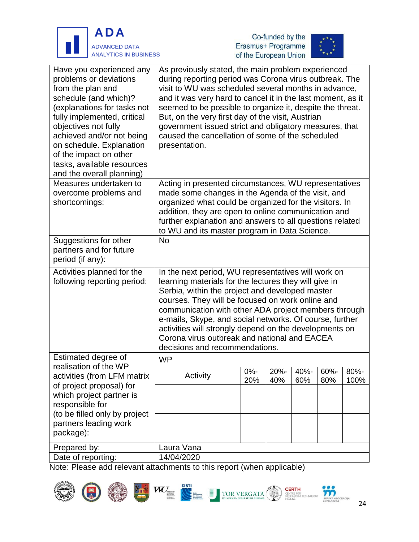





| Have you experienced any<br>problems or deviations<br>from the plan and<br>schedule (and which)?<br>(explanations for tasks not<br>fully implemented, critical<br>objectives not fully<br>achieved and/or not being<br>on schedule. Explanation<br>of the impact on other<br>tasks, available resources<br>and the overall planning) | As previously stated, the main problem experienced<br>during reporting period was Corona virus outbreak. The<br>visit to WU was scheduled several months in advance,<br>and it was very hard to cancel it in the last moment, as it<br>seemed to be possible to organize it, despite the threat.<br>But, on the very first day of the visit, Austrian<br>government issued strict and obligatory measures, that<br>caused the cancellation of some of the scheduled<br>presentation. |        |      |      |      |      |
|--------------------------------------------------------------------------------------------------------------------------------------------------------------------------------------------------------------------------------------------------------------------------------------------------------------------------------------|--------------------------------------------------------------------------------------------------------------------------------------------------------------------------------------------------------------------------------------------------------------------------------------------------------------------------------------------------------------------------------------------------------------------------------------------------------------------------------------|--------|------|------|------|------|
| Measures undertaken to                                                                                                                                                                                                                                                                                                               | Acting in presented circumstances, WU representatives                                                                                                                                                                                                                                                                                                                                                                                                                                |        |      |      |      |      |
| overcome problems and                                                                                                                                                                                                                                                                                                                | made some changes in the Agenda of the visit, and                                                                                                                                                                                                                                                                                                                                                                                                                                    |        |      |      |      |      |
| shortcomings:                                                                                                                                                                                                                                                                                                                        | organized what could be organized for the visitors. In                                                                                                                                                                                                                                                                                                                                                                                                                               |        |      |      |      |      |
|                                                                                                                                                                                                                                                                                                                                      | addition, they are open to online communication and                                                                                                                                                                                                                                                                                                                                                                                                                                  |        |      |      |      |      |
|                                                                                                                                                                                                                                                                                                                                      | further explanation and answers to all questions related                                                                                                                                                                                                                                                                                                                                                                                                                             |        |      |      |      |      |
|                                                                                                                                                                                                                                                                                                                                      | to WU and its master program in Data Science.                                                                                                                                                                                                                                                                                                                                                                                                                                        |        |      |      |      |      |
| Suggestions for other<br>partners and for future<br>period (if any):                                                                                                                                                                                                                                                                 | <b>No</b>                                                                                                                                                                                                                                                                                                                                                                                                                                                                            |        |      |      |      |      |
| Activities planned for the<br>following reporting period:                                                                                                                                                                                                                                                                            | In the next period, WU representatives will work on<br>learning materials for the lectures they will give in<br>Serbia, within the project and developed master<br>courses. They will be focused on work online and<br>communication with other ADA project members through<br>e-mails, Skype, and social networks. Of course, further<br>activities will strongly depend on the developments on<br>Corona virus outbreak and national and EACEA<br>decisions and recommendations.   |        |      |      |      |      |
| Estimated degree of                                                                                                                                                                                                                                                                                                                  | <b>WP</b>                                                                                                                                                                                                                                                                                                                                                                                                                                                                            |        |      |      |      |      |
| realisation of the WP                                                                                                                                                                                                                                                                                                                |                                                                                                                                                                                                                                                                                                                                                                                                                                                                                      | $0% -$ | 20%- | 40%- | 60%- | 80%- |
| activities (from LFM matrix                                                                                                                                                                                                                                                                                                          | Activity                                                                                                                                                                                                                                                                                                                                                                                                                                                                             | 20%    | 40%  | 60%  | 80%  | 100% |
| of project proposal) for<br>which project partner is                                                                                                                                                                                                                                                                                 |                                                                                                                                                                                                                                                                                                                                                                                                                                                                                      |        |      |      |      |      |
| responsible for                                                                                                                                                                                                                                                                                                                      |                                                                                                                                                                                                                                                                                                                                                                                                                                                                                      |        |      |      |      |      |
| (to be filled only by project                                                                                                                                                                                                                                                                                                        |                                                                                                                                                                                                                                                                                                                                                                                                                                                                                      |        |      |      |      |      |
| partners leading work                                                                                                                                                                                                                                                                                                                |                                                                                                                                                                                                                                                                                                                                                                                                                                                                                      |        |      |      |      |      |
| package):                                                                                                                                                                                                                                                                                                                            |                                                                                                                                                                                                                                                                                                                                                                                                                                                                                      |        |      |      |      |      |
| Prepared by:                                                                                                                                                                                                                                                                                                                         | Laura Vana                                                                                                                                                                                                                                                                                                                                                                                                                                                                           |        |      |      |      |      |
| Date of reporting:                                                                                                                                                                                                                                                                                                                   | 14/04/2020                                                                                                                                                                                                                                                                                                                                                                                                                                                                           |        |      |      |      |      |
|                                                                                                                                                                                                                                                                                                                                      |                                                                                                                                                                                                                                                                                                                                                                                                                                                                                      |        |      |      |      |      |



**CERTH**<br>CENTRE FOR<br>RESEARCH & TECHNOLOGY<br>HELLAS

**SRPSKA ASK**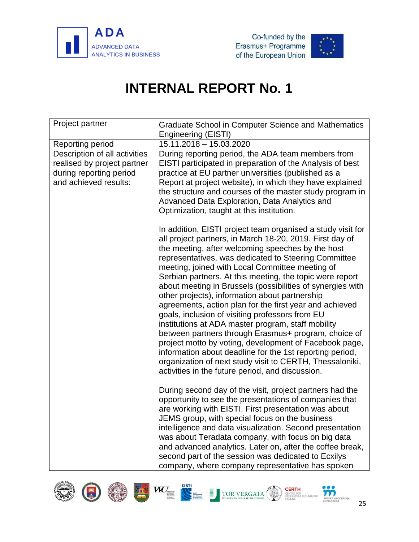



<span id="page-27-0"></span>

| Project partner                                                                                                  | Graduate School in Computer Science and Mathematics<br><b>Engineering (EISTI)</b>                                                                                                                                                                                                                                                                                                                                                                                                                                                                                                                                                                                                                                                                                                                                                                                                                                                     |
|------------------------------------------------------------------------------------------------------------------|---------------------------------------------------------------------------------------------------------------------------------------------------------------------------------------------------------------------------------------------------------------------------------------------------------------------------------------------------------------------------------------------------------------------------------------------------------------------------------------------------------------------------------------------------------------------------------------------------------------------------------------------------------------------------------------------------------------------------------------------------------------------------------------------------------------------------------------------------------------------------------------------------------------------------------------|
| Reporting period                                                                                                 | 15.11.2018 - 15.03.2020                                                                                                                                                                                                                                                                                                                                                                                                                                                                                                                                                                                                                                                                                                                                                                                                                                                                                                               |
| Description of all activities<br>realised by project partner<br>during reporting period<br>and achieved results: | During reporting period, the ADA team members from<br>EISTI participated in preparation of the Analysis of best<br>practice at EU partner universities (published as a<br>Report at project website), in which they have explained<br>the structure and courses of the master study program in<br>Advanced Data Exploration, Data Analytics and<br>Optimization, taught at this institution.                                                                                                                                                                                                                                                                                                                                                                                                                                                                                                                                          |
|                                                                                                                  | In addition, EISTI project team organised a study visit for<br>all project partners, in March 18-20, 2019. First day of<br>the meeting, after welcoming speeches by the host<br>representatives, was dedicated to Steering Committee<br>meeting, joined with Local Committee meeting of<br>Serbian partners. At this meeting, the topic were report<br>about meeting in Brussels (possibilities of synergies with<br>other projects), information about partnership<br>agreements, action plan for the first year and achieved<br>goals, inclusion of visiting professors from EU<br>institutions at ADA master program, staff mobility<br>between partners through Erasmus+ program, choice of<br>project motto by voting, development of Facebook page,<br>information about deadline for the 1st reporting period,<br>organization of next study visit to CERTH, Thessaloniki,<br>activities in the future period, and discussion. |
|                                                                                                                  | During second day of the visit, project partners had the<br>opportunity to see the presentations of companies that<br>are working with EISTI. First presentation was about<br>JEMS group, with special focus on the business<br>intelligence and data visualization. Second presentation<br>was about Teradata company, with focus on big data<br>and advanced analytics. Later on, after the coffee break,<br>second part of the session was dedicated to Ecxilys<br>company, where company representative has spoken                                                                                                                                                                                                                                                                                                                                                                                                                |





C







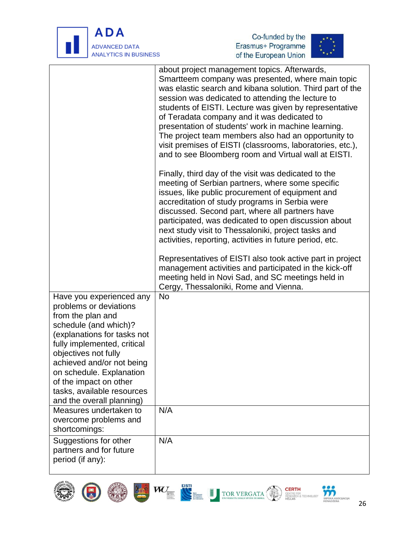





|                                                                                                                                                                                                                                                                                                                                      | about project management topics. Afterwards,<br>Smartteem company was presented, where main topic<br>was elastic search and kibana solution. Third part of the<br>session was dedicated to attending the lecture to<br>students of EISTI. Lecture was given by representative<br>of Teradata company and it was dedicated to<br>presentation of students' work in machine learning.<br>The project team members also had an opportunity to<br>visit premises of EISTI (classrooms, laboratories, etc.),<br>and to see Bloomberg room and Virtual wall at EISTI.<br>Finally, third day of the visit was dedicated to the<br>meeting of Serbian partners, where some specific<br>issues, like public procurement of equipment and<br>accreditation of study programs in Serbia were<br>discussed. Second part, where all partners have<br>participated, was dedicated to open discussion about<br>next study visit to Thessaloniki, project tasks and<br>activities, reporting, activities in future period, etc.<br>Representatives of EISTI also took active part in project<br>management activities and participated in the kick-off<br>meeting held in Novi Sad, and SC meetings held in |
|--------------------------------------------------------------------------------------------------------------------------------------------------------------------------------------------------------------------------------------------------------------------------------------------------------------------------------------|---------------------------------------------------------------------------------------------------------------------------------------------------------------------------------------------------------------------------------------------------------------------------------------------------------------------------------------------------------------------------------------------------------------------------------------------------------------------------------------------------------------------------------------------------------------------------------------------------------------------------------------------------------------------------------------------------------------------------------------------------------------------------------------------------------------------------------------------------------------------------------------------------------------------------------------------------------------------------------------------------------------------------------------------------------------------------------------------------------------------------------------------------------------------------------------------|
|                                                                                                                                                                                                                                                                                                                                      | Cergy, Thessaloniki, Rome and Vienna.                                                                                                                                                                                                                                                                                                                                                                                                                                                                                                                                                                                                                                                                                                                                                                                                                                                                                                                                                                                                                                                                                                                                                       |
| Have you experienced any<br>problems or deviations<br>from the plan and<br>schedule (and which)?<br>(explanations for tasks not<br>fully implemented, critical<br>objectives not fully<br>achieved and/or not being<br>on schedule. Explanation<br>of the impact on other<br>tasks, available resources<br>and the overall planning) | <b>No</b>                                                                                                                                                                                                                                                                                                                                                                                                                                                                                                                                                                                                                                                                                                                                                                                                                                                                                                                                                                                                                                                                                                                                                                                   |
| Measures undertaken to<br>overcome problems and<br>shortcomings:                                                                                                                                                                                                                                                                     | N/A                                                                                                                                                                                                                                                                                                                                                                                                                                                                                                                                                                                                                                                                                                                                                                                                                                                                                                                                                                                                                                                                                                                                                                                         |
| Suggestions for other<br>partners and for future<br>period (if any):                                                                                                                                                                                                                                                                 | N/A                                                                                                                                                                                                                                                                                                                                                                                                                                                                                                                                                                                                                                                                                                                                                                                                                                                                                                                                                                                                                                                                                                                                                                                         |









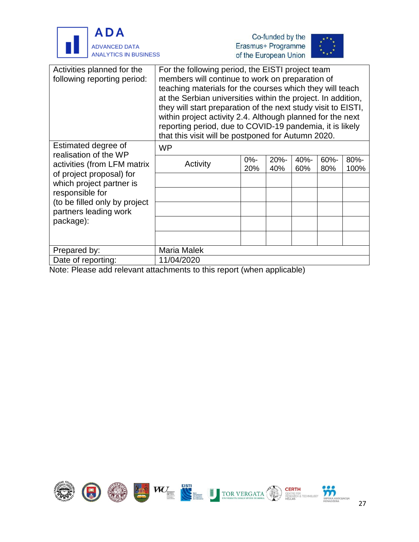





| Activities planned for the<br>following reporting period:                                                                                                                                                                     | For the following period, the EISTI project team<br>members will continue to work on preparation of<br>teaching materials for the courses which they will teach<br>at the Serbian universities within the project. In addition,<br>they will start preparation of the next study visit to EISTI,<br>within project activity 2.4. Although planned for the next<br>reporting period, due to COVID-19 pandemia, it is likely<br>that this visit will be postponed for Autumn 2020. |               |             |             |                |              |
|-------------------------------------------------------------------------------------------------------------------------------------------------------------------------------------------------------------------------------|----------------------------------------------------------------------------------------------------------------------------------------------------------------------------------------------------------------------------------------------------------------------------------------------------------------------------------------------------------------------------------------------------------------------------------------------------------------------------------|---------------|-------------|-------------|----------------|--------------|
| Estimated degree of<br>realisation of the WP<br>activities (from LFM matrix<br>of project proposal) for<br>which project partner is<br>responsible for<br>(to be filled only by project<br>partners leading work<br>package): | <b>WP</b>                                                                                                                                                                                                                                                                                                                                                                                                                                                                        |               |             |             |                |              |
|                                                                                                                                                                                                                               | Activity                                                                                                                                                                                                                                                                                                                                                                                                                                                                         | $0% -$<br>20% | 20%-<br>40% | 40%-<br>60% | $60% -$<br>80% | 80%-<br>100% |
|                                                                                                                                                                                                                               |                                                                                                                                                                                                                                                                                                                                                                                                                                                                                  |               |             |             |                |              |
|                                                                                                                                                                                                                               |                                                                                                                                                                                                                                                                                                                                                                                                                                                                                  |               |             |             |                |              |
|                                                                                                                                                                                                                               |                                                                                                                                                                                                                                                                                                                                                                                                                                                                                  |               |             |             |                |              |
|                                                                                                                                                                                                                               |                                                                                                                                                                                                                                                                                                                                                                                                                                                                                  |               |             |             |                |              |
|                                                                                                                                                                                                                               |                                                                                                                                                                                                                                                                                                                                                                                                                                                                                  |               |             |             |                |              |
| Prepared by:                                                                                                                                                                                                                  | Maria Malek                                                                                                                                                                                                                                                                                                                                                                                                                                                                      |               |             |             |                |              |
| Date of reporting:                                                                                                                                                                                                            | 11/04/2020                                                                                                                                                                                                                                                                                                                                                                                                                                                                       |               |             |             |                |              |

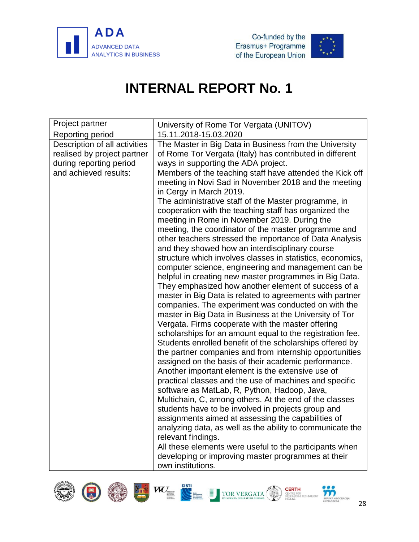





<span id="page-30-0"></span>

| Project partner               | University of Rome Tor Vergata (UNITOV)                                                                       |  |  |  |  |
|-------------------------------|---------------------------------------------------------------------------------------------------------------|--|--|--|--|
| Reporting period              | 15.11.2018-15.03.2020                                                                                         |  |  |  |  |
| Description of all activities | The Master in Big Data in Business from the University                                                        |  |  |  |  |
| realised by project partner   | of Rome Tor Vergata (Italy) has contributed in different                                                      |  |  |  |  |
| during reporting period       | ways in supporting the ADA project.                                                                           |  |  |  |  |
| and achieved results:         | Members of the teaching staff have attended the Kick off                                                      |  |  |  |  |
|                               | meeting in Novi Sad in November 2018 and the meeting                                                          |  |  |  |  |
|                               | in Cergy in March 2019.                                                                                       |  |  |  |  |
|                               | The administrative staff of the Master programme, in                                                          |  |  |  |  |
|                               | cooperation with the teaching staff has organized the                                                         |  |  |  |  |
|                               | meeting in Rome in November 2019. During the                                                                  |  |  |  |  |
|                               | meeting, the coordinator of the master programme and                                                          |  |  |  |  |
|                               | other teachers stressed the importance of Data Analysis                                                       |  |  |  |  |
|                               | and they showed how an interdisciplinary course<br>structure which involves classes in statistics, economics, |  |  |  |  |
|                               | computer science, engineering and management can be                                                           |  |  |  |  |
|                               | helpful in creating new master programmes in Big Data.                                                        |  |  |  |  |
|                               | They emphasized how another element of success of a                                                           |  |  |  |  |
|                               | master in Big Data is related to agreements with partner                                                      |  |  |  |  |
|                               | companies. The experiment was conducted on with the                                                           |  |  |  |  |
|                               | master in Big Data in Business at the University of Tor                                                       |  |  |  |  |
|                               | Vergata. Firms cooperate with the master offering                                                             |  |  |  |  |
|                               | scholarships for an amount equal to the registration fee.                                                     |  |  |  |  |
|                               | Students enrolled benefit of the scholarships offered by                                                      |  |  |  |  |
|                               | the partner companies and from internship opportunities                                                       |  |  |  |  |
|                               | assigned on the basis of their academic performance.                                                          |  |  |  |  |
|                               | Another important element is the extensive use of                                                             |  |  |  |  |
|                               | practical classes and the use of machines and specific                                                        |  |  |  |  |
|                               | software as MatLab, R, Python, Hadoop, Java,                                                                  |  |  |  |  |
|                               | Multichain, C, among others. At the end of the classes                                                        |  |  |  |  |
|                               | students have to be involved in projects group and                                                            |  |  |  |  |
|                               | assignments aimed at assessing the capabilities of                                                            |  |  |  |  |
|                               | analyzing data, as well as the ability to communicate the                                                     |  |  |  |  |
|                               | relevant findings.                                                                                            |  |  |  |  |
|                               | All these elements were useful to the participants when                                                       |  |  |  |  |
|                               | developing or improving master programmes at their                                                            |  |  |  |  |
|                               | own institutions.                                                                                             |  |  |  |  |









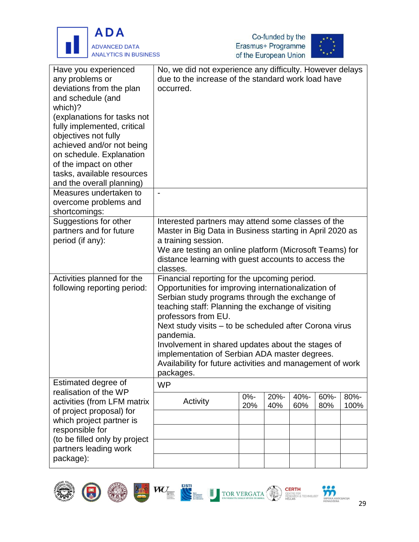





| Have you experienced<br>any problems or<br>deviations from the plan<br>and schedule (and<br>which)?<br>(explanations for tasks not<br>fully implemented, critical<br>objectives not fully<br>achieved and/or not being<br>on schedule. Explanation<br>of the impact on other<br>tasks, available resources<br>and the overall planning) | No, we did not experience any difficulty. However delays<br>due to the increase of the standard work load have<br>occurred. |        |      |      |      |      |
|-----------------------------------------------------------------------------------------------------------------------------------------------------------------------------------------------------------------------------------------------------------------------------------------------------------------------------------------|-----------------------------------------------------------------------------------------------------------------------------|--------|------|------|------|------|
| Measures undertaken to                                                                                                                                                                                                                                                                                                                  |                                                                                                                             |        |      |      |      |      |
|                                                                                                                                                                                                                                                                                                                                         | $\overline{\phantom{a}}$                                                                                                    |        |      |      |      |      |
| overcome problems and                                                                                                                                                                                                                                                                                                                   |                                                                                                                             |        |      |      |      |      |
| shortcomings:                                                                                                                                                                                                                                                                                                                           |                                                                                                                             |        |      |      |      |      |
| Suggestions for other                                                                                                                                                                                                                                                                                                                   | Interested partners may attend some classes of the                                                                          |        |      |      |      |      |
| partners and for future                                                                                                                                                                                                                                                                                                                 | Master in Big Data in Business starting in April 2020 as                                                                    |        |      |      |      |      |
| period (if any):                                                                                                                                                                                                                                                                                                                        | a training session.                                                                                                         |        |      |      |      |      |
|                                                                                                                                                                                                                                                                                                                                         | We are testing an online platform (Microsoft Teams) for                                                                     |        |      |      |      |      |
|                                                                                                                                                                                                                                                                                                                                         | distance learning with guest accounts to access the                                                                         |        |      |      |      |      |
|                                                                                                                                                                                                                                                                                                                                         | classes.                                                                                                                    |        |      |      |      |      |
| Activities planned for the                                                                                                                                                                                                                                                                                                              | Financial reporting for the upcoming period.                                                                                |        |      |      |      |      |
| following reporting period:                                                                                                                                                                                                                                                                                                             | Opportunities for improving internationalization of                                                                         |        |      |      |      |      |
|                                                                                                                                                                                                                                                                                                                                         | Serbian study programs through the exchange of                                                                              |        |      |      |      |      |
|                                                                                                                                                                                                                                                                                                                                         | teaching staff: Planning the exchange of visiting                                                                           |        |      |      |      |      |
|                                                                                                                                                                                                                                                                                                                                         | professors from EU.                                                                                                         |        |      |      |      |      |
|                                                                                                                                                                                                                                                                                                                                         | Next study visits – to be scheduled after Corona virus                                                                      |        |      |      |      |      |
|                                                                                                                                                                                                                                                                                                                                         | pandemia.                                                                                                                   |        |      |      |      |      |
|                                                                                                                                                                                                                                                                                                                                         | Involvement in shared updates about the stages of                                                                           |        |      |      |      |      |
|                                                                                                                                                                                                                                                                                                                                         | implementation of Serbian ADA master degrees.                                                                               |        |      |      |      |      |
|                                                                                                                                                                                                                                                                                                                                         | Availability for future activities and management of work                                                                   |        |      |      |      |      |
|                                                                                                                                                                                                                                                                                                                                         | packages.                                                                                                                   |        |      |      |      |      |
| Estimated degree of<br>realisation of the WP                                                                                                                                                                                                                                                                                            | <b>WP</b>                                                                                                                   |        |      |      |      |      |
| activities (from LFM matrix                                                                                                                                                                                                                                                                                                             | Activity                                                                                                                    | $0% -$ | 20%- | 40%- | 60%- | 80%- |
|                                                                                                                                                                                                                                                                                                                                         |                                                                                                                             | 20%    | 40%  | 60%  | 80%  | 100% |
| of project proposal) for<br>which project partner is                                                                                                                                                                                                                                                                                    |                                                                                                                             |        |      |      |      |      |
|                                                                                                                                                                                                                                                                                                                                         |                                                                                                                             |        |      |      |      |      |
| responsible for                                                                                                                                                                                                                                                                                                                         |                                                                                                                             |        |      |      |      |      |
| (to be filled only by project<br>partners leading work                                                                                                                                                                                                                                                                                  |                                                                                                                             |        |      |      |      |      |
|                                                                                                                                                                                                                                                                                                                                         |                                                                                                                             |        |      |      |      |      |
| package):                                                                                                                                                                                                                                                                                                                               |                                                                                                                             |        |      |      |      |      |





**in**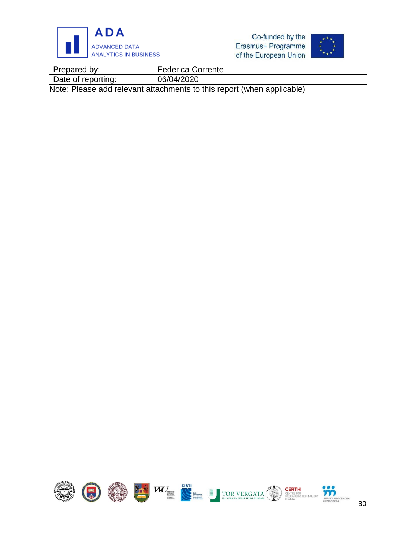

Co-funded by the Erasmus+ Programme of the European Union



| Prepared by:       | <b>Federica Corrente</b> |
|--------------------|--------------------------|
| Date of reporting: | 06/04/2020               |
|                    |                          |

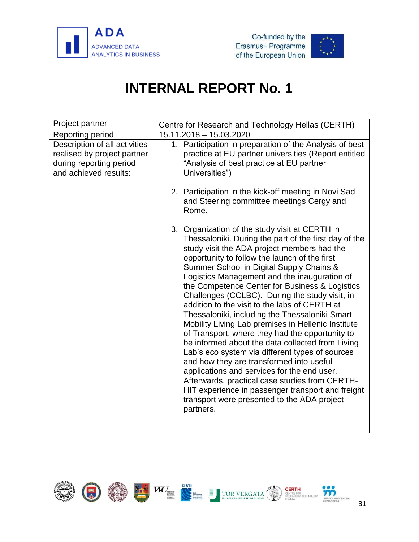



<span id="page-33-0"></span>

| Project partner                                                                                                  | Centre for Research and Technology Hellas (CERTH)                                                                                                                                                                                                                                                                                                                                                                                                                                                                                                                                                                                                                                                                                                                                                                                                                                                                                                                                        |  |  |  |  |
|------------------------------------------------------------------------------------------------------------------|------------------------------------------------------------------------------------------------------------------------------------------------------------------------------------------------------------------------------------------------------------------------------------------------------------------------------------------------------------------------------------------------------------------------------------------------------------------------------------------------------------------------------------------------------------------------------------------------------------------------------------------------------------------------------------------------------------------------------------------------------------------------------------------------------------------------------------------------------------------------------------------------------------------------------------------------------------------------------------------|--|--|--|--|
| Reporting period                                                                                                 | 15.11.2018 - 15.03.2020                                                                                                                                                                                                                                                                                                                                                                                                                                                                                                                                                                                                                                                                                                                                                                                                                                                                                                                                                                  |  |  |  |  |
| Description of all activities<br>realised by project partner<br>during reporting period<br>and achieved results: | 1. Participation in preparation of the Analysis of best<br>practice at EU partner universities (Report entitled<br>"Analysis of best practice at EU partner<br>Universities")                                                                                                                                                                                                                                                                                                                                                                                                                                                                                                                                                                                                                                                                                                                                                                                                            |  |  |  |  |
|                                                                                                                  | 2. Participation in the kick-off meeting in Novi Sad<br>and Steering committee meetings Cergy and<br>Rome.                                                                                                                                                                                                                                                                                                                                                                                                                                                                                                                                                                                                                                                                                                                                                                                                                                                                               |  |  |  |  |
|                                                                                                                  | 3. Organization of the study visit at CERTH in<br>Thessaloniki. During the part of the first day of the<br>study visit the ADA project members had the<br>opportunity to follow the launch of the first<br>Summer School in Digital Supply Chains &<br>Logistics Management and the inauguration of<br>the Competence Center for Business & Logistics<br>Challenges (CCLBC). During the study visit, in<br>addition to the visit to the labs of CERTH at<br>Thessaloniki, including the Thessaloniki Smart<br>Mobility Living Lab premises in Hellenic Institute<br>of Transport, where they had the opportunity to<br>be informed about the data collected from Living<br>Lab's eco system via different types of sources<br>and how they are transformed into useful<br>applications and services for the end user.<br>Afterwards, practical case studies from CERTH-<br>HIT experience in passenger transport and freight<br>transport were presented to the ADA project<br>partners. |  |  |  |  |

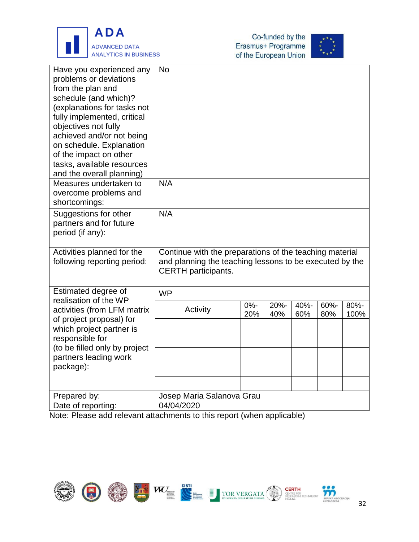





| Have you experienced any<br>problems or deviations<br>from the plan and<br>schedule (and which)?<br>(explanations for tasks not<br>fully implemented, critical<br>objectives not fully<br>achieved and/or not being<br>on schedule. Explanation<br>of the impact on other<br>tasks, available resources<br>and the overall planning)<br>Measures undertaken to | <b>No</b><br>N/A                                                                                                                                 |               |             |             |             |              |
|----------------------------------------------------------------------------------------------------------------------------------------------------------------------------------------------------------------------------------------------------------------------------------------------------------------------------------------------------------------|--------------------------------------------------------------------------------------------------------------------------------------------------|---------------|-------------|-------------|-------------|--------------|
| overcome problems and<br>shortcomings:                                                                                                                                                                                                                                                                                                                         |                                                                                                                                                  |               |             |             |             |              |
| Suggestions for other<br>partners and for future<br>period (if any):                                                                                                                                                                                                                                                                                           | N/A                                                                                                                                              |               |             |             |             |              |
| Activities planned for the<br>following reporting period:                                                                                                                                                                                                                                                                                                      | Continue with the preparations of the teaching material<br>and planning the teaching lessons to be executed by the<br><b>CERTH</b> participants. |               |             |             |             |              |
| Estimated degree of<br>realisation of the WP                                                                                                                                                                                                                                                                                                                   | <b>WP</b>                                                                                                                                        |               |             |             |             |              |
| activities (from LFM matrix<br>of project proposal) for<br>which project partner is                                                                                                                                                                                                                                                                            | Activity                                                                                                                                         | $0% -$<br>20% | 20%-<br>40% | 40%-<br>60% | 60%-<br>80% | 80%-<br>100% |
| responsible for                                                                                                                                                                                                                                                                                                                                                |                                                                                                                                                  |               |             |             |             |              |
| (to be filled only by project<br>partners leading work                                                                                                                                                                                                                                                                                                         |                                                                                                                                                  |               |             |             |             |              |
| package):                                                                                                                                                                                                                                                                                                                                                      |                                                                                                                                                  |               |             |             |             |              |
|                                                                                                                                                                                                                                                                                                                                                                |                                                                                                                                                  |               |             |             |             |              |
| Prepared by:                                                                                                                                                                                                                                                                                                                                                   | Josep Maria Salanova Grau                                                                                                                        |               |             |             |             |              |
| Date of reporting:                                                                                                                                                                                                                                                                                                                                             | 04/04/2020                                                                                                                                       |               |             |             |             |              |

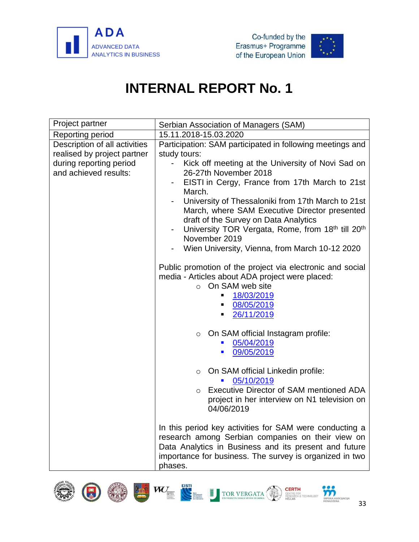





<span id="page-35-0"></span>

| Project partner                                                                                                  | Serbian Association of Managers (SAM)                                                                                                                                                                                                                                                                                                                        |  |  |  |  |  |
|------------------------------------------------------------------------------------------------------------------|--------------------------------------------------------------------------------------------------------------------------------------------------------------------------------------------------------------------------------------------------------------------------------------------------------------------------------------------------------------|--|--|--|--|--|
| Reporting period                                                                                                 | 15.11.2018-15.03.2020                                                                                                                                                                                                                                                                                                                                        |  |  |  |  |  |
| Description of all activities<br>realised by project partner<br>during reporting period<br>and achieved results: | Participation: SAM participated in following meetings and<br>study tours:<br>Kick off meeting at the University of Novi Sad on<br>26-27th November 2018                                                                                                                                                                                                      |  |  |  |  |  |
|                                                                                                                  | EISTI in Cergy, France from 17th March to 21st<br>March.<br>University of Thessaloniki from 17th March to 21st<br>March, where SAM Executive Director presented<br>draft of the Survey on Data Analytics<br>University TOR Vergata, Rome, from 18th till 20th<br>$\overline{\phantom{a}}$<br>November 2019<br>Wien University, Vienna, from March 10-12 2020 |  |  |  |  |  |
|                                                                                                                  | Public promotion of the project via electronic and social<br>media - Articles about ADA project were placed:<br>$\circ$ On SAM web site<br>18/03/2019<br>ш<br>08/05/2019<br>٠<br>26/11/2019<br>п                                                                                                                                                             |  |  |  |  |  |
|                                                                                                                  | On SAM official Instagram profile:<br>$\circ$<br>05/04/2019<br>09/05/2019<br>$\blacksquare$                                                                                                                                                                                                                                                                  |  |  |  |  |  |
|                                                                                                                  | On SAM official Linkedin profile:<br>$\circ$<br>05/10/2019<br>Executive Director of SAM mentioned ADA<br>$\circ$<br>project in her interview on N1 television on<br>04/06/2019                                                                                                                                                                               |  |  |  |  |  |
|                                                                                                                  | In this period key activities for SAM were conducting a<br>research among Serbian companies on their view on<br>Data Analytics in Business and its present and future<br>importance for business. The survey is organized in two<br>phases.                                                                                                                  |  |  |  |  |  |













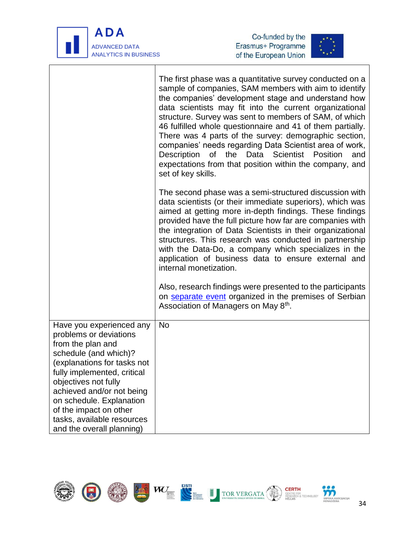

 $\mathbf{I}$ 

j





|                                                                                                                                                                                                                                                                                                                                      | The first phase was a quantitative survey conducted on a<br>sample of companies, SAM members with aim to identify<br>the companies' development stage and understand how<br>data scientists may fit into the current organizational<br>structure. Survey was sent to members of SAM, of which<br>46 fulfilled whole questionnaire and 41 of them partially.<br>There was 4 parts of the survey: demographic section,<br>companies' needs regarding Data Scientist area of work,<br>the Data Scientist Position<br>Description<br>of<br>and<br>expectations from that position within the company, and<br>set of key skills. |
|--------------------------------------------------------------------------------------------------------------------------------------------------------------------------------------------------------------------------------------------------------------------------------------------------------------------------------------|-----------------------------------------------------------------------------------------------------------------------------------------------------------------------------------------------------------------------------------------------------------------------------------------------------------------------------------------------------------------------------------------------------------------------------------------------------------------------------------------------------------------------------------------------------------------------------------------------------------------------------|
|                                                                                                                                                                                                                                                                                                                                      | The second phase was a semi-structured discussion with<br>data scientists (or their immediate superiors), which was<br>aimed at getting more in-depth findings. These findings<br>provided have the full picture how far are companies with<br>the integration of Data Scientists in their organizational<br>structures. This research was conducted in partnership<br>with the Data-Do, a company which specializes in the<br>application of business data to ensure external and<br>internal monetization.                                                                                                                |
|                                                                                                                                                                                                                                                                                                                                      | Also, research findings were presented to the participants<br>on separate event organized in the premises of Serbian<br>Association of Managers on May 8 <sup>th</sup> .                                                                                                                                                                                                                                                                                                                                                                                                                                                    |
| Have you experienced any<br>problems or deviations<br>from the plan and<br>schedule (and which)?<br>(explanations for tasks not<br>fully implemented, critical<br>objectives not fully<br>achieved and/or not being<br>on schedule. Explanation<br>of the impact on other<br>tasks, available resources<br>and the overall planning) | <b>No</b>                                                                                                                                                                                                                                                                                                                                                                                                                                                                                                                                                                                                                   |